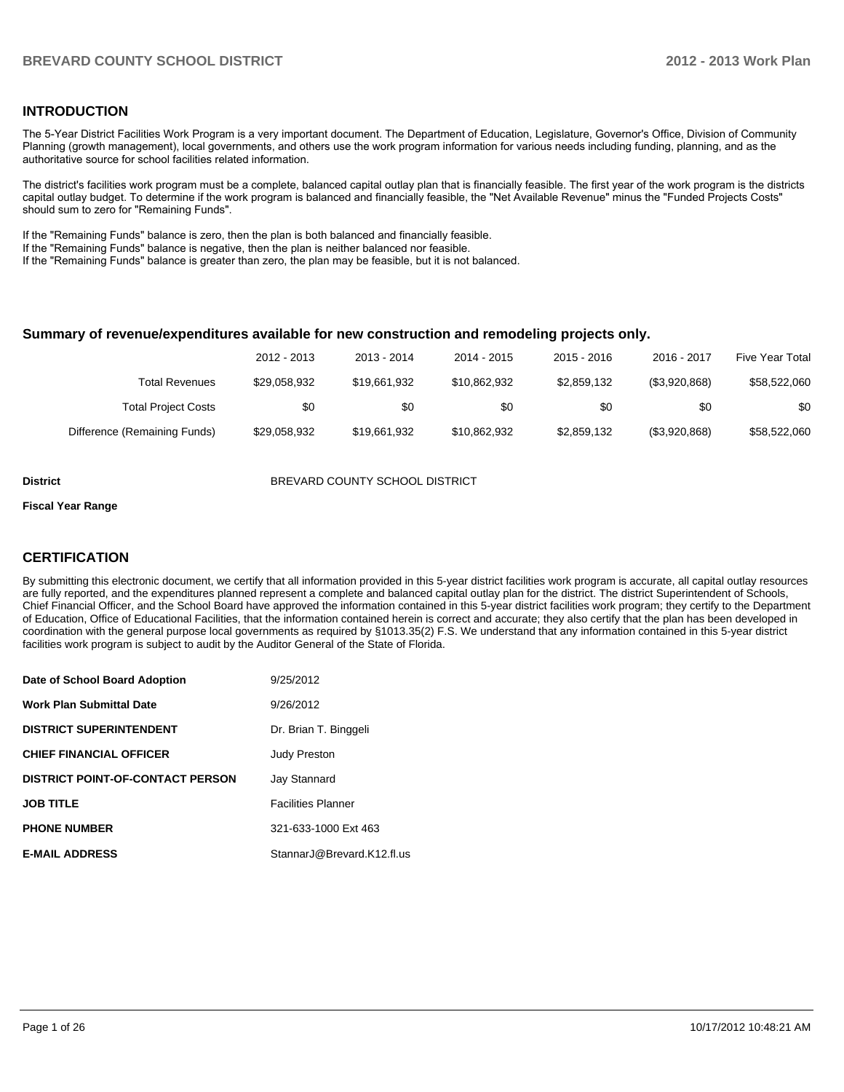#### **INTRODUCTION**

The 5-Year District Facilities Work Program is a very important document. The Department of Education, Legislature, Governor's Office, Division of Community Planning (growth management), local governments, and others use the work program information for various needs including funding, planning, and as the authoritative source for school facilities related information.

The district's facilities work program must be a complete, balanced capital outlay plan that is financially feasible. The first year of the work program is the districts capital outlay budget. To determine if the work program is balanced and financially feasible, the "Net Available Revenue" minus the "Funded Projects Costs" should sum to zero for "Remaining Funds".

If the "Remaining Funds" balance is zero, then the plan is both balanced and financially feasible.

If the "Remaining Funds" balance is negative, then the plan is neither balanced nor feasible.

If the "Remaining Funds" balance is greater than zero, the plan may be feasible, but it is not balanced.

#### **Summary of revenue/expenditures available for new construction and remodeling projects only.**

| Five Year Total | 2016 - 2017   | 2015 - 2016 | 2014 - 2015  | 2013 - 2014  | 2012 - 2013  |                              |
|-----------------|---------------|-------------|--------------|--------------|--------------|------------------------------|
| \$58,522,060    | (\$3,920,868) | \$2,859,132 | \$10,862,932 | \$19,661,932 | \$29.058.932 | <b>Total Revenues</b>        |
| \$0             | \$0           | \$0         | \$0          | \$0          | \$0          | <b>Total Project Costs</b>   |
| \$58,522,060    | (\$3,920,868) | \$2,859,132 | \$10,862,932 | \$19,661,932 | \$29,058,932 | Difference (Remaining Funds) |

**District** BREVARD COUNTY SCHOOL DISTRICT

#### **Fiscal Year Range**

#### **CERTIFICATION**

By submitting this electronic document, we certify that all information provided in this 5-year district facilities work program is accurate, all capital outlay resources are fully reported, and the expenditures planned represent a complete and balanced capital outlay plan for the district. The district Superintendent of Schools, Chief Financial Officer, and the School Board have approved the information contained in this 5-year district facilities work program; they certify to the Department of Education, Office of Educational Facilities, that the information contained herein is correct and accurate; they also certify that the plan has been developed in coordination with the general purpose local governments as required by §1013.35(2) F.S. We understand that any information contained in this 5-year district facilities work program is subject to audit by the Auditor General of the State of Florida.

| Date of School Board Adoption           | 9/25/2012                  |
|-----------------------------------------|----------------------------|
| <b>Work Plan Submittal Date</b>         | 9/26/2012                  |
| <b>DISTRICT SUPERINTENDENT</b>          | Dr. Brian T. Binggeli      |
| <b>CHIEF FINANCIAL OFFICER</b>          | <b>Judy Preston</b>        |
| <b>DISTRICT POINT-OF-CONTACT PERSON</b> | <b>Jay Stannard</b>        |
| <b>JOB TITLE</b>                        | <b>Facilities Planner</b>  |
| <b>PHONE NUMBER</b>                     | 321-633-1000 Ext 463       |
| <b>E-MAIL ADDRESS</b>                   | StannarJ@Brevard.K12.fl.us |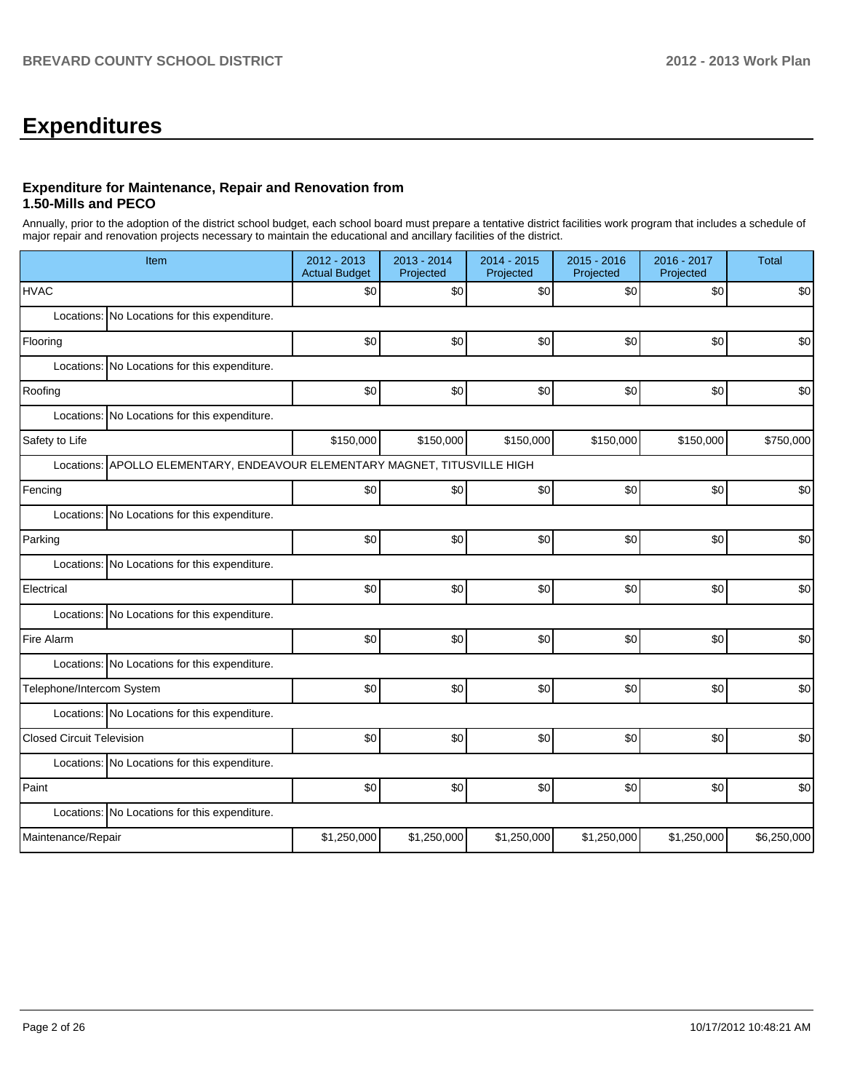# **Expenditures**

## **Expenditure for Maintenance, Repair and Renovation from 1.50-Mills and PECO**

Annually, prior to the adoption of the district school budget, each school board must prepare a tentative district facilities work program that includes a schedule of major repair and renovation projects necessary to maintain the educational and ancillary facilities of the district.

| Item                                                                       | 2012 - 2013<br><b>Actual Budget</b> | 2013 - 2014<br>Projected | 2014 - 2015<br>Projected | 2015 - 2016<br>Projected | 2016 - 2017<br>Projected | <b>Total</b> |
|----------------------------------------------------------------------------|-------------------------------------|--------------------------|--------------------------|--------------------------|--------------------------|--------------|
| <b>HVAC</b>                                                                | \$0                                 | \$0                      | \$0                      | \$0                      | \$0                      | \$0          |
| Locations: No Locations for this expenditure.                              |                                     |                          |                          |                          |                          |              |
| Flooring                                                                   | \$0                                 | \$0                      | \$0                      | \$0                      | \$0                      | \$0          |
| Locations: No Locations for this expenditure.                              |                                     |                          |                          |                          |                          |              |
| Roofing                                                                    | \$0                                 | \$0                      | \$0                      | \$0                      | \$0                      | \$0          |
| Locations: No Locations for this expenditure.                              |                                     |                          |                          |                          |                          |              |
| Safety to Life                                                             | \$150,000                           | \$150,000                | \$150,000                | \$150,000                | \$150,000                | \$750,000    |
| Locations: APOLLO ELEMENTARY, ENDEAVOUR ELEMENTARY MAGNET, TITUSVILLE HIGH |                                     |                          |                          |                          |                          |              |
| Fencing                                                                    | \$0                                 | \$0                      | \$0                      | \$0                      | \$0                      | \$0          |
| Locations: No Locations for this expenditure.                              |                                     |                          |                          |                          |                          |              |
| Parking                                                                    | \$0                                 | \$0                      | \$0                      | \$0                      | \$0                      | \$0          |
| Locations: No Locations for this expenditure.                              |                                     |                          |                          |                          |                          |              |
| Electrical                                                                 | \$0                                 | \$0                      | \$0                      | \$0                      | \$0                      | \$0          |
| Locations: No Locations for this expenditure.                              |                                     |                          |                          |                          |                          |              |
| Fire Alarm                                                                 | \$0                                 | \$0                      | \$0                      | \$0                      | \$0                      | \$0          |
| Locations: No Locations for this expenditure.                              |                                     |                          |                          |                          |                          |              |
| Telephone/Intercom System                                                  | \$0                                 | \$0                      | \$0                      | \$0                      | \$0                      | \$0          |
| Locations: No Locations for this expenditure.                              |                                     |                          |                          |                          |                          |              |
| <b>Closed Circuit Television</b>                                           | \$0                                 | \$0                      | \$0                      | \$0                      | \$0                      | \$0          |
| Locations: No Locations for this expenditure.                              |                                     |                          |                          |                          |                          |              |
| Paint                                                                      | \$0                                 | \$0                      | \$0                      | \$0                      | \$0                      | \$0          |
| Locations: No Locations for this expenditure.                              |                                     |                          |                          |                          |                          |              |
| Maintenance/Repair                                                         | \$1,250,000                         | \$1,250,000              | \$1,250,000              | \$1,250,000              | \$1,250,000              | \$6,250,000  |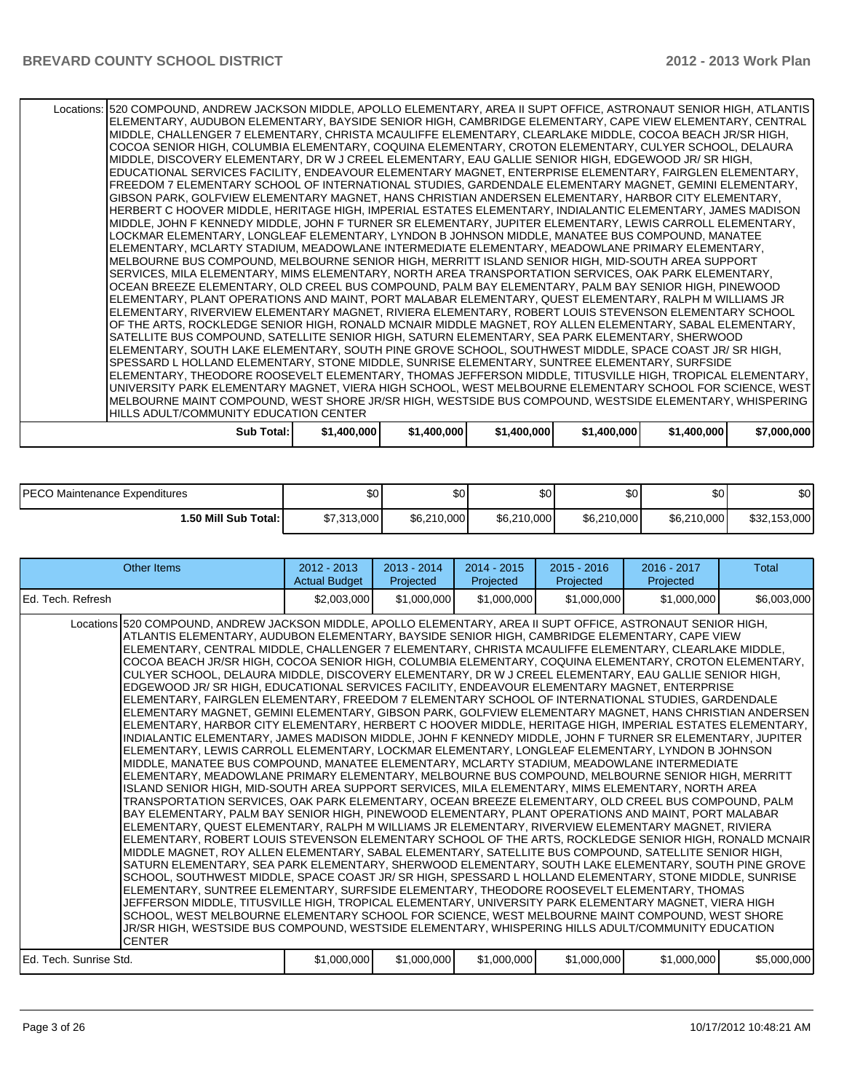| Locations: 520 COMPOUND, ANDREW JACKSON MIDDLE, APOLLO ELEMENTARY, AREA II SUPT OFFICE, ASTRONAUT SENIOR HIGH, ATLANTIS |             |             |             |             |             |             |
|-------------------------------------------------------------------------------------------------------------------------|-------------|-------------|-------------|-------------|-------------|-------------|
| ELEMENTARY, AUDUBON ELEMENTARY, BAYSIDE SENIOR HIGH, CAMBRIDGE ELEMENTARY, CAPE VIEW ELEMENTARY, CENTRAL                |             |             |             |             |             |             |
| MIDDLE, CHALLENGER 7 ELEMENTARY, CHRISTA MCAULIFFE ELEMENTARY, CLEARLAKE MIDDLE, COCOA BEACH JR/SR HIGH,                |             |             |             |             |             |             |
| COCOA SENIOR HIGH, COLUMBIA ELEMENTARY, COQUINA ELEMENTARY, CROTON ELEMENTARY, CULYER SCHOOL, DELAURA                   |             |             |             |             |             |             |
| MIDDLE, DISCOVERY ELEMENTARY, DR W J CREEL ELEMENTARY, EAU GALLIE SENIOR HIGH, EDGEWOOD JR/ SR HIGH,                    |             |             |             |             |             |             |
| EDUCATIONAL SERVICES FACILITY, ENDEAVOUR ELEMENTARY MAGNET, ENTERPRISE ELEMENTARY, FAIRGLEN ELEMENTARY,                 |             |             |             |             |             |             |
| FREEDOM 7 ELEMENTARY SCHOOL OF INTERNATIONAL STUDIES, GARDENDALE ELEMENTARY MAGNET, GEMINI ELEMENTARY,                  |             |             |             |             |             |             |
|                                                                                                                         |             |             |             |             |             |             |
| GIBSON PARK, GOLFVIEW ELEMENTARY MAGNET, HANS CHRISTIAN ANDERSEN ELEMENTARY, HARBOR CITY ELEMENTARY,                    |             |             |             |             |             |             |
| HERBERT C HOOVER MIDDLE, HERITAGE HIGH, IMPERIAL ESTATES ELEMENTARY, INDIALANTIC ELEMENTARY, JAMES MADISON              |             |             |             |             |             |             |
| MIDDLE, JOHN F KENNEDY MIDDLE, JOHN F TURNER SR ELEMENTARY, JUPITER ELEMENTARY, LEWIS CARROLL ELEMENTARY,               |             |             |             |             |             |             |
| LOCKMAR ELEMENTARY, LONGLEAF ELEMENTARY, LYNDON B JOHNSON MIDDLE, MANATEE BUS COMPOUND, MANATEE                         |             |             |             |             |             |             |
| ELEMENTARY, MCLARTY STADIUM, MEADOWLANE INTERMEDIATE ELEMENTARY, MEADOWLANE PRIMARY ELEMENTARY,                         |             |             |             |             |             |             |
| MELBOURNE BUS COMPOUND, MELBOURNE SENIOR HIGH, MERRITT ISLAND SENIOR HIGH, MID-SOUTH AREA SUPPORT                       |             |             |             |             |             |             |
| SERVICES, MILA ELEMENTARY, MIMS ELEMENTARY, NORTH AREA TRANSPORTATION SERVICES, OAK PARK ELEMENTARY,                    |             |             |             |             |             |             |
| OCEAN BREEZE ELEMENTARY, OLD CREEL BUS COMPOUND, PALM BAY ELEMENTARY, PALM BAY SENIOR HIGH, PINEWOOD                    |             |             |             |             |             |             |
| ELEMENTARY, PLANT OPERATIONS AND MAINT, PORT MALABAR ELEMENTARY, QUEST ELEMENTARY, RALPH M WILLIAMS JR                  |             |             |             |             |             |             |
| ELEMENTARY, RIVERVIEW ELEMENTARY MAGNET, RIVIERA ELEMENTARY, ROBERT LOUIS STEVENSON ELEMENTARY SCHOOL                   |             |             |             |             |             |             |
| OF THE ARTS, ROCKLEDGE SENIOR HIGH, RONALD MCNAIR MIDDLE MAGNET, ROY ALLEN ELEMENTARY, SABAL ELEMENTARY,                |             |             |             |             |             |             |
| SATELLITE BUS COMPOUND, SATELLITE SENIOR HIGH, SATURN ELEMENTARY, SEA PARK ELEMENTARY, SHERWOOD                         |             |             |             |             |             |             |
| ELEMENTARY, SOUTH LAKE ELEMENTARY, SOUTH PINE GROVE SCHOOL, SOUTHWEST MIDDLE, SPACE COAST JR/ SR HIGH,                  |             |             |             |             |             |             |
| SPESSARD L HOLLAND ELEMENTARY, STONE MIDDLE, SUNRISE ELEMENTARY, SUNTREE ELEMENTARY, SURFSIDE                           |             |             |             |             |             |             |
| ELEMENTARY, THEODORE ROOSEVELT ELEMENTARY, THOMAS JEFFERSON MIDDLE, TITUSVILLE HIGH, TROPICAL ELEMENTARY,               |             |             |             |             |             |             |
| UNIVERSITY PARK ELEMENTARY MAGNET, VIERA HIGH SCHOOL, WEST MELBOURNE ELEMENTARY SCHOOL FOR SCIENCE, WEST                |             |             |             |             |             |             |
| MELBOURNE MAINT COMPOUND, WEST SHORE JR/SR HIGH, WESTSIDE BUS COMPOUND, WESTSIDE ELEMENTARY, WHISPERING                 |             |             |             |             |             |             |
| HILLS ADULT/COMMUNITY EDUCATION CENTER                                                                                  |             |             |             |             |             |             |
| Sub Total: I                                                                                                            | \$1,400,000 | \$1,400,000 | \$1,400,000 | \$1,400,000 | \$1,400,000 | \$7,000,000 |

| IPECO Maintenance Expenditures | \$0         | ሱስ<br>JU.   | ΦΩ<br>w     | \$0 <sub>1</sub> | \$0         | \$0          |
|--------------------------------|-------------|-------------|-------------|------------------|-------------|--------------|
| l.50 Mill Sub Total: İ         | \$7,313,000 | \$6,210,000 | \$6,210,000 | \$6,210,000      | \$6,210,000 | \$32,153,000 |

| Other Items                                                                                                                                                                                                                                                                                                                                                                                                                                                                                                                                                                                                                                                                                                                                                                                                                                                                                                                                                                                                                                                                                                                                                                                                                                                                                                                                                                                                                                                                                                                                                                                                                                                                                                                                                                                                                                                                                                                                                                                                                                                                                                                                                                                                                                                                                                                                                                                                                                                                                                                                                                                                                                                                                 | $2012 - 2013$<br><b>Actual Budget</b> | 2013 - 2014<br>Projected | $2014 - 2015$<br>Projected | $2015 - 2016$<br>Projected | $2016 - 2017$<br>Projected | <b>Total</b> |
|---------------------------------------------------------------------------------------------------------------------------------------------------------------------------------------------------------------------------------------------------------------------------------------------------------------------------------------------------------------------------------------------------------------------------------------------------------------------------------------------------------------------------------------------------------------------------------------------------------------------------------------------------------------------------------------------------------------------------------------------------------------------------------------------------------------------------------------------------------------------------------------------------------------------------------------------------------------------------------------------------------------------------------------------------------------------------------------------------------------------------------------------------------------------------------------------------------------------------------------------------------------------------------------------------------------------------------------------------------------------------------------------------------------------------------------------------------------------------------------------------------------------------------------------------------------------------------------------------------------------------------------------------------------------------------------------------------------------------------------------------------------------------------------------------------------------------------------------------------------------------------------------------------------------------------------------------------------------------------------------------------------------------------------------------------------------------------------------------------------------------------------------------------------------------------------------------------------------------------------------------------------------------------------------------------------------------------------------------------------------------------------------------------------------------------------------------------------------------------------------------------------------------------------------------------------------------------------------------------------------------------------------------------------------------------------------|---------------------------------------|--------------------------|----------------------------|----------------------------|----------------------------|--------------|
| IEd. Tech. Refresh                                                                                                                                                                                                                                                                                                                                                                                                                                                                                                                                                                                                                                                                                                                                                                                                                                                                                                                                                                                                                                                                                                                                                                                                                                                                                                                                                                                                                                                                                                                                                                                                                                                                                                                                                                                                                                                                                                                                                                                                                                                                                                                                                                                                                                                                                                                                                                                                                                                                                                                                                                                                                                                                          | \$2,003,000                           | \$1,000,000              | \$1,000,000                | \$1,000,000                | \$1,000,000                | \$6,003,000  |
| Locations 520 COMPOUND, ANDREW JACKSON MIDDLE, APOLLO ELEMENTARY, AREA II SUPT OFFICE, ASTRONAUT SENIOR HIGH,<br>ATLANTIS ELEMENTARY, AUDUBON ELEMENTARY, BAYSIDE SENIOR HIGH, CAMBRIDGE ELEMENTARY, CAPE VIEW<br>ELEMENTARY, CENTRAL MIDDLE, CHALLENGER 7 ELEMENTARY, CHRISTA MCAULIFFE ELEMENTARY, CLEARLAKE MIDDLE,<br>COCOA BEACH JR/SR HIGH, COCOA SENIOR HIGH, COLUMBIA ELEMENTARY, COQUINA ELEMENTARY, CROTON ELEMENTARY,<br>CULYER SCHOOL, DELAURA MIDDLE, DISCOVERY ELEMENTARY, DR W J CREEL ELEMENTARY, EAU GALLIE SENIOR HIGH,<br>EDGEWOOD JR/ SR HIGH. EDUCATIONAL SERVICES FACILITY. ENDEAVOUR ELEMENTARY MAGNET. ENTERPRISE<br>ELEMENTARY, FAIRGLEN ELEMENTARY, FREEDOM 7 ELEMENTARY SCHOOL OF INTERNATIONAL STUDIES, GARDENDALE<br>ELEMENTARY MAGNET. GEMINI ELEMENTARY. GIBSON PARK. GOLFVIEW ELEMENTARY MAGNET. HANS CHRISTIAN ANDERSEN I<br>ELEMENTARY, HARBOR CITY ELEMENTARY, HERBERT C HOOVER MIDDLE, HERITAGE HIGH, IMPERIAL ESTATES ELEMENTARY,<br>INDIALANTIC ELEMENTARY. JAMES MADISON MIDDLE. JOHN F KENNEDY MIDDLE. JOHN F TURNER SR ELEMENTARY. JUPITER<br>ELEMENTARY, LEWIS CARROLL ELEMENTARY, LOCKMAR ELEMENTARY, LONGLEAF ELEMENTARY, LYNDON B JOHNSON<br>MIDDLE. MANATEE BUS COMPOUND. MANATEE ELEMENTARY. MCLARTY STADIUM. MEADOWLANE INTERMEDIATE<br>ELEMENTARY, MEADOWLANE PRIMARY ELEMENTARY, MELBOURNE BUS COMPOUND, MELBOURNE SENIOR HIGH, MERRITT<br>ISLAND SENIOR HIGH, MID-SOUTH AREA SUPPORT SERVICES, MILA ELEMENTARY, MIMS ELEMENTARY, NORTH AREA<br>TRANSPORTATION SERVICES, OAK PARK ELEMENTARY, OCEAN BREEZE ELEMENTARY, OLD CREEL BUS COMPOUND, PALM<br>BAY ELEMENTARY, PALM BAY SENIOR HIGH, PINEWOOD ELEMENTARY, PLANT OPERATIONS AND MAINT, PORT MALABAR<br>ELEMENTARY, QUEST ELEMENTARY, RALPH M WILLIAMS JR ELEMENTARY, RIVERVIEW ELEMENTARY MAGNET, RIVIERA<br>ELEMENTARY. ROBERT LOUIS STEVENSON ELEMENTARY SCHOOL OF THE ARTS. ROCKLEDGE SENIOR HIGH. RONALD MCNAIR I<br>MIDDLE MAGNET, ROY ALLEN ELEMENTARY, SABAL ELEMENTARY, SATELLITE BUS COMPOUND, SATELLITE SENIOR HIGH,<br>SATURN ELEMENTARY. SEA PARK ELEMENTARY. SHERWOOD ELEMENTARY. SOUTH LAKE ELEMENTARY. SOUTH PINE GROVE<br>SCHOOL, SOUTHWEST MIDDLE, SPACE COAST JR/ SR HIGH, SPESSARD L HOLLAND ELEMENTARY, STONE MIDDLE, SUNRISE<br>ELEMENTARY, SUNTREE ELEMENTARY, SURFSIDE ELEMENTARY, THEODORE ROOSEVELT ELEMENTARY, THOMAS<br>JEFFERSON MIDDLE, TITUSVILLE HIGH, TROPICAL ELEMENTARY, UNIVERSITY PARK ELEMENTARY MAGNET, VIERA HIGH<br>SCHOOL, WEST MELBOURNE ELEMENTARY SCHOOL FOR SCIENCE, WEST MELBOURNE MAINT COMPOUND, WEST SHORE<br>JR/SR HIGH, WESTSIDE BUS COMPOUND, WESTSIDE ELEMENTARY, WHISPERING HILLS ADULT/COMMUNITY EDUCATION<br><b>CENTER</b> |                                       |                          |                            |                            |                            |              |
| IEd. Tech. Sunrise Std.                                                                                                                                                                                                                                                                                                                                                                                                                                                                                                                                                                                                                                                                                                                                                                                                                                                                                                                                                                                                                                                                                                                                                                                                                                                                                                                                                                                                                                                                                                                                                                                                                                                                                                                                                                                                                                                                                                                                                                                                                                                                                                                                                                                                                                                                                                                                                                                                                                                                                                                                                                                                                                                                     | \$1,000,000                           | \$1,000,000              | \$1,000,000                | \$1,000,000                | \$1,000,000                | \$5,000,000  |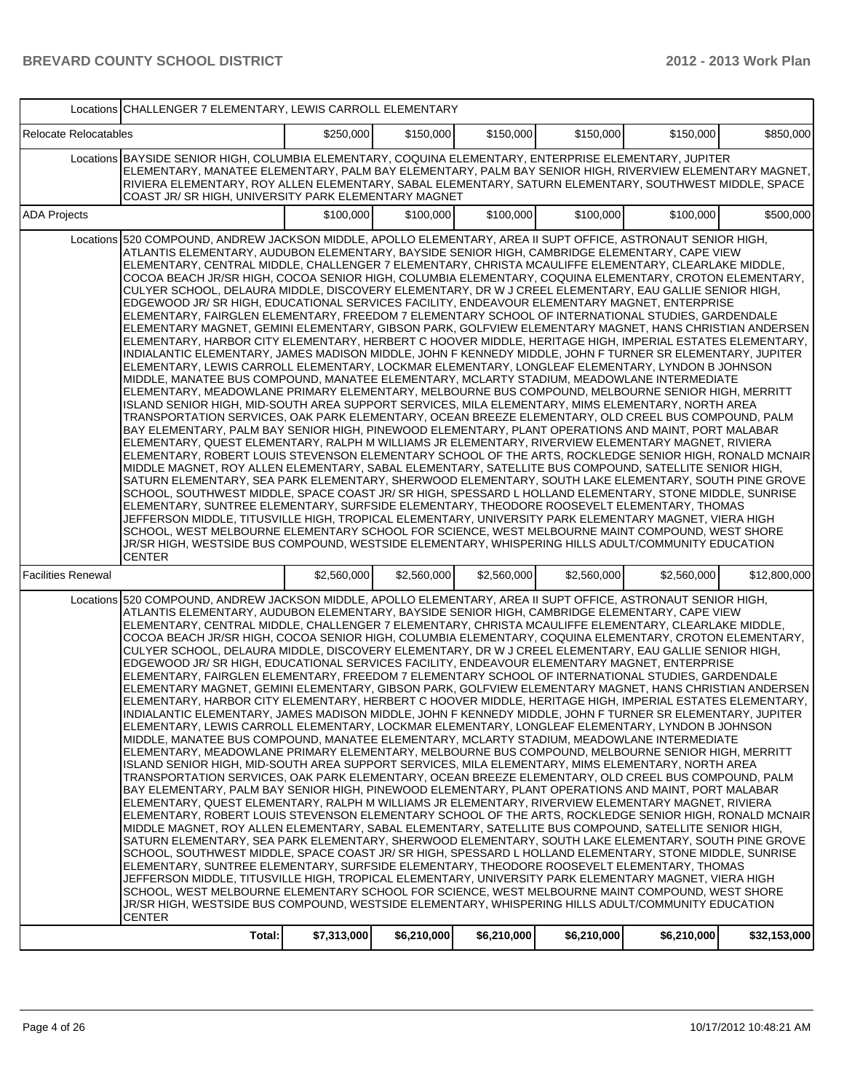|                              | Locations CHALLENGER 7 ELEMENTARY, LEWIS CARROLL ELEMENTARY                                                                                                                                                                                                                                                                                                                                                                                                                                                                                                                                                                                                                                                                                                                                                                                                                                                                                                                                                                                                                                                                                                                                                                                                                                                                                                                                                                                                                                                                                                                                                                                                                                                                                                                                                                                                                                                                                                                                                                                                                                                                                                                                                                                                                                                                                                                                                                                                                                                                                                                                                                                                                                 |             |             |             |             |             |              |  |  |
|------------------------------|---------------------------------------------------------------------------------------------------------------------------------------------------------------------------------------------------------------------------------------------------------------------------------------------------------------------------------------------------------------------------------------------------------------------------------------------------------------------------------------------------------------------------------------------------------------------------------------------------------------------------------------------------------------------------------------------------------------------------------------------------------------------------------------------------------------------------------------------------------------------------------------------------------------------------------------------------------------------------------------------------------------------------------------------------------------------------------------------------------------------------------------------------------------------------------------------------------------------------------------------------------------------------------------------------------------------------------------------------------------------------------------------------------------------------------------------------------------------------------------------------------------------------------------------------------------------------------------------------------------------------------------------------------------------------------------------------------------------------------------------------------------------------------------------------------------------------------------------------------------------------------------------------------------------------------------------------------------------------------------------------------------------------------------------------------------------------------------------------------------------------------------------------------------------------------------------------------------------------------------------------------------------------------------------------------------------------------------------------------------------------------------------------------------------------------------------------------------------------------------------------------------------------------------------------------------------------------------------------------------------------------------------------------------------------------------------|-------------|-------------|-------------|-------------|-------------|--------------|--|--|
| <b>Relocate Relocatables</b> |                                                                                                                                                                                                                                                                                                                                                                                                                                                                                                                                                                                                                                                                                                                                                                                                                                                                                                                                                                                                                                                                                                                                                                                                                                                                                                                                                                                                                                                                                                                                                                                                                                                                                                                                                                                                                                                                                                                                                                                                                                                                                                                                                                                                                                                                                                                                                                                                                                                                                                                                                                                                                                                                                             | \$250,000   | \$150,000   | \$150,000   | \$150,000   | \$150,000   | \$850,000    |  |  |
|                              | Locations BAYSIDE SENIOR HIGH, COLUMBIA ELEMENTARY, COQUINA ELEMENTARY, ENTERPRISE ELEMENTARY, JUPITER<br>ELEMENTARY, MANATEE ELEMENTARY, PALM BAY ELEMENTARY, PALM BAY SENIOR HIGH, RIVERVIEW ELEMENTARY MAGNET,<br>RIVIERA ELEMENTARY, ROY ALLEN ELEMENTARY, SABAL ELEMENTARY, SATURN ELEMENTARY, SOUTHWEST MIDDLE, SPACE<br>COAST JR/ SR HIGH, UNIVERSITY PARK ELEMENTARY MAGNET                                                                                                                                                                                                                                                                                                                                                                                                                                                                                                                                                                                                                                                                                                                                                                                                                                                                                                                                                                                                                                                                                                                                                                                                                                                                                                                                                                                                                                                                                                                                                                                                                                                                                                                                                                                                                                                                                                                                                                                                                                                                                                                                                                                                                                                                                                         |             |             |             |             |             |              |  |  |
| <b>ADA Projects</b>          |                                                                                                                                                                                                                                                                                                                                                                                                                                                                                                                                                                                                                                                                                                                                                                                                                                                                                                                                                                                                                                                                                                                                                                                                                                                                                                                                                                                                                                                                                                                                                                                                                                                                                                                                                                                                                                                                                                                                                                                                                                                                                                                                                                                                                                                                                                                                                                                                                                                                                                                                                                                                                                                                                             | \$100,000   | \$100,000   | \$100,000   | \$100,000   | \$100,000   | \$500,000    |  |  |
|                              | Locations 520 COMPOUND, ANDREW JACKSON MIDDLE, APOLLO ELEMENTARY, AREA II SUPT OFFICE, ASTRONAUT SENIOR HIGH,<br>ATLANTIS ELEMENTARY, AUDUBON ELEMENTARY, BAYSIDE SENIOR HIGH, CAMBRIDGE ELEMENTARY, CAPE VIEW<br>ELEMENTARY, CENTRAL MIDDLE, CHALLENGER 7 ELEMENTARY, CHRISTA MCAULIFFE ELEMENTARY, CLEARLAKE MIDDLE,<br>COCOA BEACH JR/SR HIGH, COCOA SENIOR HIGH, COLUMBIA ELEMENTARY, COQUINA ELEMENTARY, CROTON ELEMENTARY,<br>CULYER SCHOOL, DELAURA MIDDLE, DISCOVERY ELEMENTARY, DR W J CREEL ELEMENTARY, EAU GALLIE SENIOR HIGH,<br>EDGEWOOD JR/ SR HIGH, EDUCATIONAL SERVICES FACILITY, ENDEAVOUR ELEMENTARY MAGNET, ENTERPRISE<br>ELEMENTARY, FAIRGLEN ELEMENTARY, FREEDOM 7 ELEMENTARY SCHOOL OF INTERNATIONAL STUDIES, GARDENDALE<br>ELEMENTARY MAGNET, GEMINI ELEMENTARY, GIBSON PARK, GOLFVIEW ELEMENTARY MAGNET, HANS CHRISTIAN ANDERSEN<br>ELEMENTARY, HARBOR CITY ELEMENTARY, HERBERT C HOOVER MIDDLE, HERITAGE HIGH, IMPERIAL ESTATES ELEMENTARY,<br>INDIALANTIC ELEMENTARY, JAMES MADISON MIDDLE, JOHN F KENNEDY MIDDLE, JOHN F TURNER SR ELEMENTARY, JUPITER<br>ELEMENTARY, LEWIS CARROLL ELEMENTARY, LOCKMAR ELEMENTARY, LONGLEAF ELEMENTARY, LYNDON B JOHNSON<br>IMIDDLE. MANATEE BUS COMPOUND. MANATEE ELEMENTARY. MCLARTY STADIUM. MEADOWLANE INTERMEDIATE<br>ELEMENTARY, MEADOWLANE PRIMARY ELEMENTARY, MELBOURNE BUS COMPOUND, MELBOURNE SENIOR HIGH, MERRITT<br>ISLAND SENIOR HIGH, MID-SOUTH AREA SUPPORT SERVICES, MILA ELEMENTARY, MIMS ELEMENTARY, NORTH AREA<br>TRANSPORTATION SERVICES, OAK PARK ELEMENTARY, OCEAN BREEZE ELEMENTARY, OLD CREEL BUS COMPOUND, PALM<br>BAY ELEMENTARY, PALM BAY SENIOR HIGH, PINEWOOD ELEMENTARY, PLANT OPERATIONS AND MAINT, PORT MALABAR<br>ELEMENTARY, QUEST ELEMENTARY, RALPH M WILLIAMS JR ELEMENTARY, RIVERVIEW ELEMENTARY MAGNET, RIVIERA<br>ELEMENTARY, ROBERT LOUIS STEVENSON ELEMENTARY SCHOOL OF THE ARTS, ROCKLEDGE SENIOR HIGH, RONALD MCNAIR<br>MIDDLE MAGNET, ROY ALLEN ELEMENTARY, SABAL ELEMENTARY, SATELLITE BUS COMPOUND, SATELLITE SENIOR HIGH,<br>SATURN ELEMENTARY, SEA PARK ELEMENTARY, SHERWOOD ELEMENTARY, SOUTH LAKE ELEMENTARY, SOUTH PINE GROVE<br>SCHOOL, SOUTHWEST MIDDLE, SPACE COAST JR/ SR HIGH, SPESSARD L HOLLAND ELEMENTARY, STONE MIDDLE, SUNRISE<br>ELEMENTARY, SUNTREE ELEMENTARY, SURFSIDE ELEMENTARY, THEODORE ROOSEVELT ELEMENTARY, THOMAS<br>JEFFERSON MIDDLE, TITUSVILLE HIGH, TROPICAL ELEMENTARY, UNIVERSITY PARK ELEMENTARY MAGNET, VIERA HIGH<br>SCHOOL, WEST MELBOURNE ELEMENTARY SCHOOL FOR SCIENCE, WEST MELBOURNE MAINT COMPOUND, WEST SHORE<br>JR/SR HIGH, WESTSIDE BUS COMPOUND, WESTSIDE ELEMENTARY, WHISPERING HILLS ADULT/COMMUNITY EDUCATION<br><b>CENTER</b>    |             |             |             |             |             |              |  |  |
| <b>Facilities Renewal</b>    |                                                                                                                                                                                                                                                                                                                                                                                                                                                                                                                                                                                                                                                                                                                                                                                                                                                                                                                                                                                                                                                                                                                                                                                                                                                                                                                                                                                                                                                                                                                                                                                                                                                                                                                                                                                                                                                                                                                                                                                                                                                                                                                                                                                                                                                                                                                                                                                                                                                                                                                                                                                                                                                                                             | \$2,560,000 | \$2,560,000 | \$2,560,000 | \$2,560,000 | \$2,560,000 | \$12,800,000 |  |  |
|                              | Locations 520 COMPOUND, ANDREW JACKSON MIDDLE, APOLLO ELEMENTARY, AREA II SUPT OFFICE, ASTRONAUT SENIOR HIGH,<br>ATLANTIS ELEMENTARY, AUDUBON ELEMENTARY, BAYSIDE SENIOR HIGH, CAMBRIDGE ELEMENTARY, CAPE VIEW<br>ELEMENTARY, CENTRAL MIDDLE, CHALLENGER 7 ELEMENTARY, CHRISTA MCAULIFFE ELEMENTARY, CLEARLAKE MIDDLE,<br>COCOA BEACH JR/SR HIGH, COCOA SENIOR HIGH, COLUMBIA ELEMENTARY, COQUINA ELEMENTARY, CROTON ELEMENTARY,<br>CULYER SCHOOL, DELAURA MIDDLE, DISCOVERY ELEMENTARY, DR W J CREEL ELEMENTARY, EAU GALLIE SENIOR HIGH,<br>EDGEWOOD JR/SR HIGH, EDUCATIONAL SERVICES FACILITY, ENDEAVOUR ELEMENTARY MAGNET, ENTERPRISE<br>ELEMENTARY, FAIRGLEN ELEMENTARY, FREEDOM 7 ELEMENTARY SCHOOL OF INTERNATIONAL STUDIES, GARDENDALE<br>ELEMENTARY MAGNET, GEMINI ELEMENTARY, GIBSON PARK, GOLFVIEW ELEMENTARY MAGNET, HANS CHRISTIAN ANDERSEN<br> ELEMENTARY, HARBOR CITY ELEMENTARY, HERBERT C HOOVER MIDDLE, HERITAGE HIGH, IMPERIAL ESTATES ELEMENTARY,<br>INDIALANTIC ELEMENTARY, JAMES MADISON MIDDLE, JOHN F KENNEDY MIDDLE, JOHN F TURNER SR ELEMENTARY, JUPITER<br>ELEMENTARY, LEWIS CARROLL ELEMENTARY, LOCKMAR ELEMENTARY, LONGLEAF ELEMENTARY, LYNDON B JOHNSON<br>MIDDLE, MANATEE BUS COMPOUND, MANATEE ELEMENTARY, MCLARTY STADIUM, MEADOWLANE INTERMEDIATE<br>ELEMENTARY, MEADOWLANE PRIMARY ELEMENTARY, MELBOURNE BUS COMPOUND, MELBOURNE SENIOR HIGH, MERRITT<br>ISLAND SENIOR HIGH, MID-SOUTH AREA SUPPORT SERVICES, MILA ELEMENTARY, MIMS ELEMENTARY, NORTH AREA<br>TRANSPORTATION SERVICES, OAK PARK ELEMENTARY, OCEAN BREEZE ELEMENTARY, OLD CREEL BUS COMPOUND, PALM<br>BAY ELEMENTARY, PALM BAY SENIOR HIGH, PINEWOOD ELEMENTARY, PLANT OPERATIONS AND MAINT, PORT MALABAR <br>ELEMENTARY, QUEST ELEMENTARY, RALPH M WILLIAMS JR ELEMENTARY, RIVERVIEW ELEMENTARY MAGNET, RIVIERA<br>IELEMENTARY, ROBERT LOUIS STEVENSON ELEMENTARY SCHOOL OF THE ARTS, ROCKLEDGE SENIOR HIGH, RONALD MCNAIR I<br>MIDDLE MAGNET, ROY ALLEN ELEMENTARY, SABAL ELEMENTARY, SATELLITE BUS COMPOUND, SATELLITE SENIOR HIGH,<br>SATURN ELEMENTARY, SEA PARK ELEMENTARY, SHERWOOD ELEMENTARY, SOUTH LAKE ELEMENTARY, SOUTH PINE GROVE<br>SCHOOL, SOUTHWEST MIDDLE, SPACE COAST JR/ SR HIGH, SPESSARD L HOLLAND ELEMENTARY, STONE MIDDLE, SUNRISE<br>ELEMENTARY, SUNTREE ELEMENTARY, SURFSIDE ELEMENTARY, THEODORE ROOSEVELT ELEMENTARY, THOMAS<br>JEFFERSON MIDDLE, TITUSVILLE HIGH, TROPICAL ELEMENTARY, UNIVERSITY PARK ELEMENTARY MAGNET, VIERA HIGH<br>SCHOOL, WEST MELBOURNE ELEMENTARY SCHOOL FOR SCIENCE, WEST MELBOURNE MAINT COMPOUND, WEST SHORE<br>JR/SR HIGH, WESTSIDE BUS COMPOUND, WESTSIDE ELEMENTARY, WHISPERING HILLS ADULT/COMMUNITY EDUCATION<br><b>CENTER</b> |             |             |             |             |             |              |  |  |
|                              | Total:                                                                                                                                                                                                                                                                                                                                                                                                                                                                                                                                                                                                                                                                                                                                                                                                                                                                                                                                                                                                                                                                                                                                                                                                                                                                                                                                                                                                                                                                                                                                                                                                                                                                                                                                                                                                                                                                                                                                                                                                                                                                                                                                                                                                                                                                                                                                                                                                                                                                                                                                                                                                                                                                                      | \$7,313,000 | \$6,210,000 | \$6,210,000 | \$6,210,000 | \$6,210,000 | \$32,153,000 |  |  |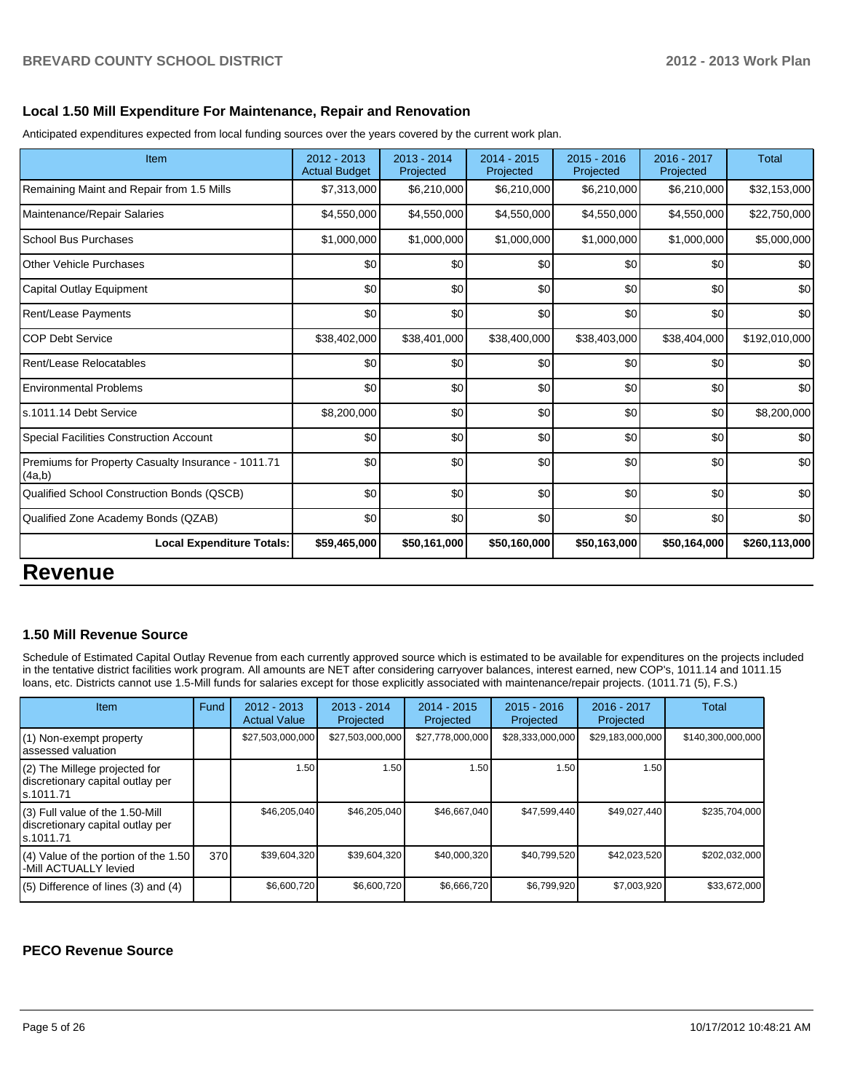#### **Local 1.50 Mill Expenditure For Maintenance, Repair and Renovation**

Anticipated expenditures expected from local funding sources over the years covered by the current work plan.

| Item                                                         | 2012 - 2013<br><b>Actual Budget</b> | $2013 - 2014$<br>Projected | 2014 - 2015<br>Projected | $2015 - 2016$<br>Projected | 2016 - 2017<br>Projected | <b>Total</b>  |
|--------------------------------------------------------------|-------------------------------------|----------------------------|--------------------------|----------------------------|--------------------------|---------------|
| Remaining Maint and Repair from 1.5 Mills                    | \$7,313,000                         | \$6,210,000                | \$6,210,000              | \$6,210,000                | \$6,210,000              | \$32,153,000  |
| Maintenance/Repair Salaries                                  | \$4,550,000                         | \$4,550,000                | \$4,550,000              | \$4,550,000                | \$4,550,000              | \$22,750,000  |
| <b>School Bus Purchases</b>                                  | \$1,000,000                         | \$1,000,000                | \$1,000,000              | \$1,000,000                | \$1,000,000              | \$5,000,000   |
| <b>Other Vehicle Purchases</b>                               | \$0                                 | \$0                        | \$0                      | \$0                        | \$0                      | \$0           |
| Capital Outlay Equipment                                     | \$0                                 | \$0                        | \$0                      | \$0                        | \$0                      | \$0           |
| Rent/Lease Payments                                          | \$0                                 | \$0                        | \$0                      | \$0                        | \$0                      | \$0           |
| <b>COP Debt Service</b>                                      | \$38,402,000                        | \$38,401,000               | \$38,400,000             | \$38,403,000               | \$38,404,000             | \$192,010,000 |
| Rent/Lease Relocatables                                      | \$0                                 | \$0                        | \$0                      | \$0                        | \$0                      | \$0           |
| <b>Environmental Problems</b>                                | \$0                                 | \$0                        | \$0                      | \$0                        | \$0                      | \$0           |
| ls.1011.14 Debt Service                                      | \$8,200,000                         | \$0                        | \$0                      | \$0                        | \$0                      | \$8,200,000   |
| Special Facilities Construction Account                      | \$0                                 | \$0                        | \$0                      | \$0                        | \$0                      | \$0           |
| Premiums for Property Casualty Insurance - 1011.71<br>(4a,b) | \$0                                 | \$0                        | \$0                      | \$0                        | \$0                      | \$0           |
| Qualified School Construction Bonds (QSCB)                   | \$0                                 | \$0                        | \$0                      | \$0                        | \$0                      | \$0           |
| Qualified Zone Academy Bonds (QZAB)                          | \$0                                 | \$0                        | \$0                      | \$0                        | \$0                      | \$0           |
| <b>Local Expenditure Totals:</b>                             | \$59,465,000                        | \$50,161,000               | \$50,160,000             | \$50,163,000               | \$50,164,000             | \$260,113,000 |

# **Revenue**

#### **1.50 Mill Revenue Source**

Schedule of Estimated Capital Outlay Revenue from each currently approved source which is estimated to be available for expenditures on the projects included in the tentative district facilities work program. All amounts are NET after considering carryover balances, interest earned, new COP's, 1011.14 and 1011.15 loans, etc. Districts cannot use 1.5-Mill funds for salaries except for those explicitly associated with maintenance/repair projects. (1011.71 (5), F.S.)

| <b>Item</b>                                                                       | Fund | $2012 - 2013$<br><b>Actual Value</b> | $2013 - 2014$<br>Projected | $2014 - 2015$<br>Projected | $2015 - 2016$<br>Projected | 2016 - 2017<br>Projected | Total             |
|-----------------------------------------------------------------------------------|------|--------------------------------------|----------------------------|----------------------------|----------------------------|--------------------------|-------------------|
| (1) Non-exempt property<br>assessed valuation                                     |      | \$27,503,000,000                     | \$27,503,000,000           | \$27,778,000,000           | \$28,333,000,000           | \$29,183,000,000         | \$140,300,000,000 |
| (2) The Millege projected for<br>discretionary capital outlay per<br>ls.1011.71   |      | 1.50                                 | 1.50                       | 1.50                       | 1.50                       | 1.50                     |                   |
| (3) Full value of the 1.50-Mill<br>discretionary capital outlay per<br>ls.1011.71 |      | \$46.205.040                         | \$46,205,040               | \$46.667.040               | \$47.599.440               | \$49,027,440             | \$235,704,000     |
| (4) Value of the portion of the 1.50<br>-Mill ACTUALLY levied                     | 370  | \$39.604.320                         | \$39,604,320               | \$40,000,320               | \$40.799.520               | \$42,023,520             | \$202.032.000     |
| $(5)$ Difference of lines $(3)$ and $(4)$                                         |      | \$6,600,720                          | \$6,600,720                | \$6,666,720                | \$6,799,920                | \$7,003,920              | \$33,672,000      |

## **PECO Revenue Source**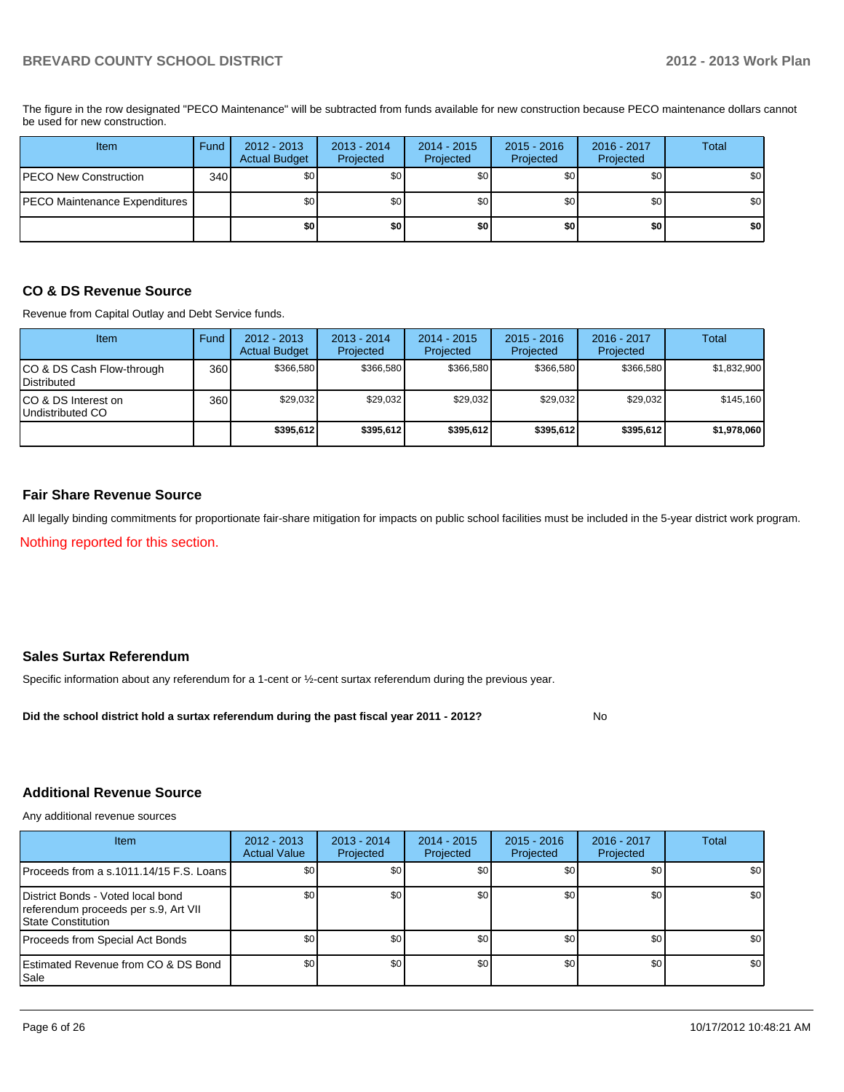PECO Maintenance Expenditures \$0 \$0 \$0 \$0 \$0 \$0 PECO New Construction 340 \$0 \$0 \$0 \$0 \$0 \$0 Item Fund 2012 - 2013 Actual Budget 2013 - 2014 Projected 2014 - 2015 Projected 2015 - 2016 Projected 2016 - 2017 Projected **Total** 

The figure in the row designated "PECO Maintenance" will be subtracted from funds available for new construction because PECO maintenance dollars cannot be used for new construction.

**\$0 \$0 \$0 \$0 \$0 \$0**

#### **CO & DS Revenue Source**

Revenue from Capital Outlay and Debt Service funds.

| Item                                            | Fund | $2012 - 2013$<br><b>Actual Budget</b> | $2013 - 2014$<br>Projected | $2014 - 2015$<br>Projected | $2015 - 2016$<br>Projected | $2016 - 2017$<br>Projected | Total       |
|-------------------------------------------------|------|---------------------------------------|----------------------------|----------------------------|----------------------------|----------------------------|-------------|
| CO & DS Cash Flow-through<br><b>Distributed</b> | 360  | \$366.580                             | \$366,580                  | \$366.580                  | \$366,580                  | \$366,580                  | \$1,832,900 |
| CO & DS Interest on<br>Undistributed CO         | 360  | \$29,032                              | \$29,032                   | \$29,032                   | \$29,032                   | \$29,032                   | \$145,160   |
|                                                 |      | \$395,612                             | \$395,612                  | \$395,612                  | \$395,612                  | \$395,612                  | \$1,978,060 |

#### **Fair Share Revenue Source**

All legally binding commitments for proportionate fair-share mitigation for impacts on public school facilities must be included in the 5-year district work program.

Nothing reported for this section.

#### **Sales Surtax Referendum**

Specific information about any referendum for a 1-cent or ½-cent surtax referendum during the previous year.

**Did the school district hold a surtax referendum during the past fiscal year 2011 - 2012?**

No

#### **Additional Revenue Source**

Any additional revenue sources

| <b>Item</b>                                                                                            | $2012 - 2013$<br><b>Actual Value</b> | $2013 - 2014$<br>Projected | 2014 - 2015<br>Projected | $2015 - 2016$<br>Projected | 2016 - 2017<br>Projected | Total            |
|--------------------------------------------------------------------------------------------------------|--------------------------------------|----------------------------|--------------------------|----------------------------|--------------------------|------------------|
| Proceeds from a s.1011.14/15 F.S. Loans                                                                | <b>SO</b>                            | \$0 <sub>1</sub>           | \$0                      | \$0                        | \$0 <sub>1</sub>         | \$0 <sub>1</sub> |
| District Bonds - Voted local bond<br>referendum proceeds per s.9, Art VII<br><b>State Constitution</b> | \$0                                  | \$0                        | \$0                      | \$0 <sub>0</sub>           | \$0                      | \$0              |
| Proceeds from Special Act Bonds                                                                        | \$0                                  | \$0                        | \$0                      | \$0                        | \$0                      | \$0              |
| <b>IEstimated Revenue from CO &amp; DS Bond</b><br>l Sale                                              | \$0                                  | \$0 <sub>l</sub>           | \$0                      | \$0                        | \$0                      | \$0              |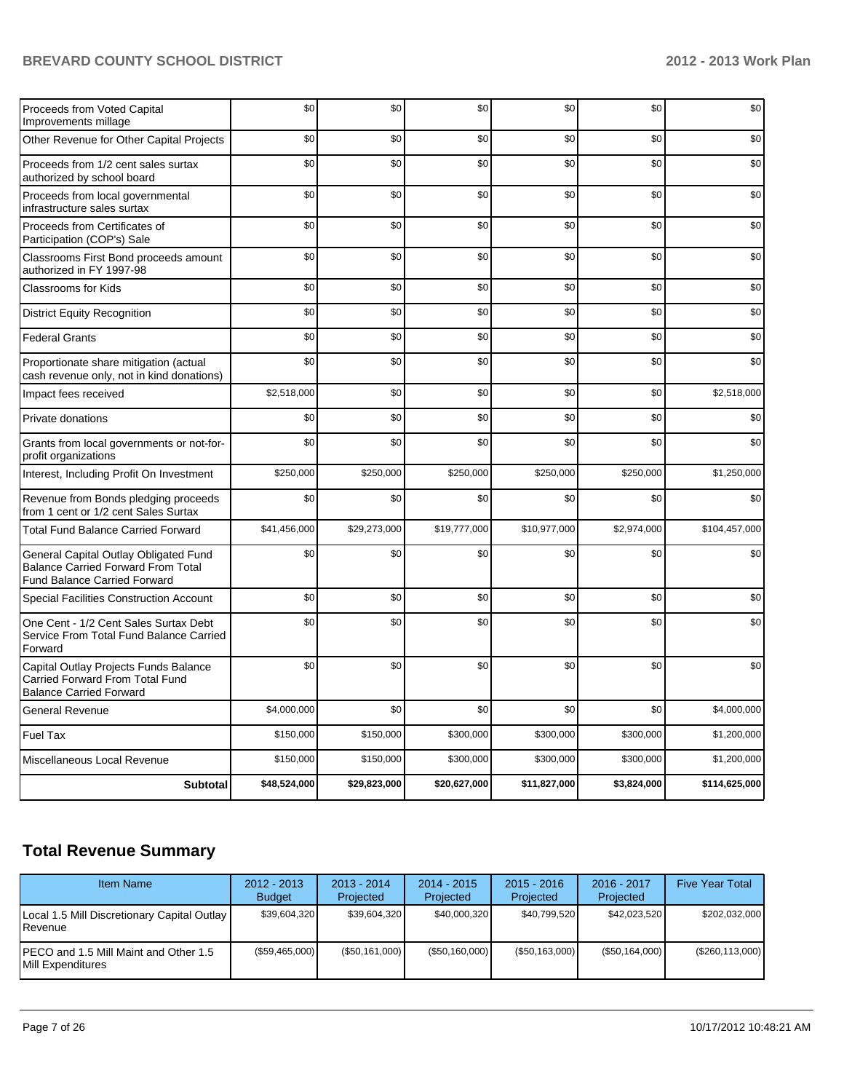| Proceeds from Voted Capital<br>Improvements millage                                                                | \$0          | \$0          | \$0          | \$0          | \$0         | \$0           |
|--------------------------------------------------------------------------------------------------------------------|--------------|--------------|--------------|--------------|-------------|---------------|
| Other Revenue for Other Capital Projects                                                                           | \$0          | \$0          | \$0          | \$0          | \$0         | \$0           |
| Proceeds from 1/2 cent sales surtax<br>authorized by school board                                                  | \$0          | \$0          | \$0          | \$0          | \$0         | \$0           |
| Proceeds from local governmental<br>infrastructure sales surtax                                                    | \$0          | \$0          | \$0          | \$0          | \$0         | \$0           |
| Proceeds from Certificates of<br>Participation (COP's) Sale                                                        | \$0          | \$0          | \$0          | \$0          | \$0         | \$0           |
| Classrooms First Bond proceeds amount<br>authorized in FY 1997-98                                                  | \$0          | \$0          | \$0          | \$0          | \$0         | \$0           |
| <b>Classrooms for Kids</b>                                                                                         | \$0          | \$0          | \$0          | \$0          | \$0         | \$0           |
| <b>District Equity Recognition</b>                                                                                 | \$0          | \$0          | \$0          | \$0          | \$0         | \$0           |
| <b>Federal Grants</b>                                                                                              | \$0          | \$0          | \$0          | \$0          | \$0         | \$0           |
| Proportionate share mitigation (actual<br>cash revenue only, not in kind donations)                                | \$0          | \$0          | \$0          | \$0          | \$0         | \$0           |
| Impact fees received                                                                                               | \$2,518,000  | \$0          | \$0          | \$0          | \$0         | \$2,518,000   |
| Private donations                                                                                                  | \$0          | \$0          | \$0          | \$0          | \$0         | \$0           |
| Grants from local governments or not-for-<br>profit organizations                                                  | \$0          | \$0          | \$0          | \$0          | \$0         | \$0           |
| Interest, Including Profit On Investment                                                                           | \$250,000    | \$250,000    | \$250,000    | \$250,000    | \$250,000   | \$1,250,000   |
| Revenue from Bonds pledging proceeds<br>from 1 cent or 1/2 cent Sales Surtax                                       | \$0          | \$0          | \$0          | \$0          | \$0         | \$0           |
| <b>Total Fund Balance Carried Forward</b>                                                                          | \$41,456,000 | \$29,273,000 | \$19,777,000 | \$10,977,000 | \$2,974,000 | \$104,457,000 |
| General Capital Outlay Obligated Fund<br>Balance Carried Forward From Total<br><b>Fund Balance Carried Forward</b> | \$0          | \$0          | \$0          | \$0          | \$0         | \$0           |
| Special Facilities Construction Account                                                                            | \$0          | \$0          | \$0          | \$0          | \$0         | \$0           |
| One Cent - 1/2 Cent Sales Surtax Debt<br>Service From Total Fund Balance Carried<br>Forward                        | \$0          | \$0          | \$0          | \$0          | \$0         | \$0           |
| Capital Outlay Projects Funds Balance<br><b>Carried Forward From Total Fund</b><br><b>Balance Carried Forward</b>  | \$0          | \$0          | \$0          | \$0          | \$0         | \$0           |
| <b>General Revenue</b>                                                                                             | \$4,000,000  | \$0          | \$0          | \$0          | \$0         | \$4,000,000   |
| <b>Fuel Tax</b>                                                                                                    | \$150,000    | \$150,000    | \$300,000    | \$300,000    | \$300,000   | \$1,200,000   |
| Miscellaneous Local Revenue                                                                                        | \$150,000    | \$150,000    | \$300,000    | \$300,000    | \$300,000   | \$1,200,000   |
| <b>Subtotal</b>                                                                                                    | \$48,524,000 | \$29,823,000 | \$20,627,000 | \$11,827,000 | \$3,824,000 | \$114,625,000 |

# **Total Revenue Summary**

| <b>Item Name</b>                                            | $2012 - 2013$<br><b>Budget</b> | $2013 - 2014$<br>Projected | 2014 - 2015<br>Projected | $2015 - 2016$<br>Projected | $2016 - 2017$<br>Projected | <b>Five Year Total</b> |
|-------------------------------------------------------------|--------------------------------|----------------------------|--------------------------|----------------------------|----------------------------|------------------------|
| Local 1.5 Mill Discretionary Capital Outlay<br>Revenue      | \$39,604,320                   | \$39,604,320               | \$40,000,320             | \$40.799.520               | \$42,023,520               | \$202,032,000          |
| IPECO and 1.5 Mill Maint and Other 1.5<br>Mill Expenditures | (\$59,465,000)                 | (S50, 161, 000)            | (\$50,160,000)           | (\$50,163,000)             | (S50, 164, 000)            | $(\$260, 113, 000)$    |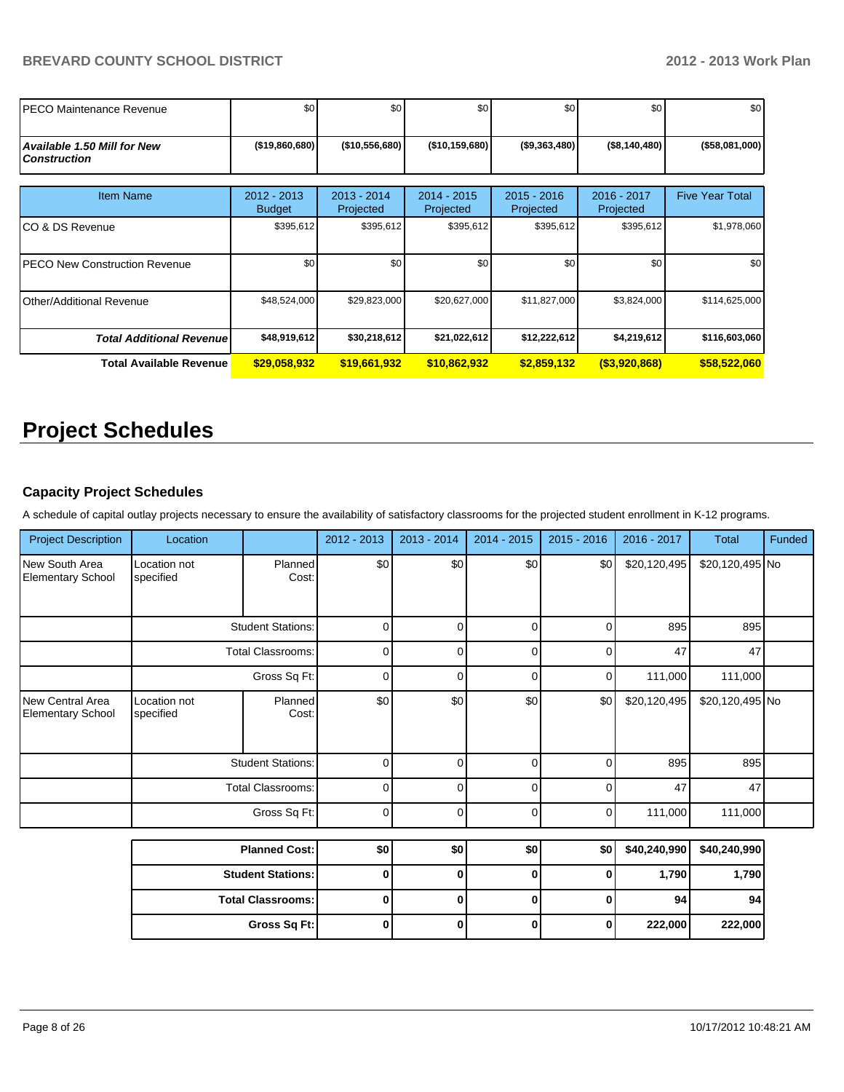| IPECO Maintenance Revenue                                 | \$0                            | \$0                        | \$0                        | \$0                        | \$0                      | \$0                    |
|-----------------------------------------------------------|--------------------------------|----------------------------|----------------------------|----------------------------|--------------------------|------------------------|
| <b>Available 1.50 Mill for New</b><br><b>Construction</b> | $($ \$19,860,680)              | (\$10,556,680)             | (\$10,159,680)             | (\$9,363,480)              | (\$8,140,480)            | (\$58,081,000)         |
| <b>Item Name</b>                                          | $2012 - 2013$<br><b>Budget</b> | $2013 - 2014$<br>Projected | $2014 - 2015$<br>Projected | $2015 - 2016$<br>Projected | 2016 - 2017<br>Projected | <b>Five Year Total</b> |
| ICO & DS Revenue                                          | \$395,612                      | \$395,612                  | \$395,612                  | \$395,612                  | \$395,612                | \$1,978,060            |
| <b>IPECO New Construction Revenue</b>                     | \$0                            | \$0                        | \$0                        | \$0                        | \$0                      | \$0                    |
| Other/Additional Revenue                                  | \$48,524,000                   | \$29,823,000               | \$20,627,000               | \$11,827,000               | \$3,824,000              | \$114,625,000          |
| <b>Total Additional Revenuel</b>                          | \$48,919,612                   | \$30,218,612]              | \$21,022,612               | \$12,222,612               | \$4,219,612              | \$116,603,060          |
| Total Available Revenue                                   | \$29,058,932                   | \$19,661,932               | \$10,862,932               | \$2,859,132                | $($ \$3,920,868)         | \$58,522,060           |

# **Project Schedules**

## **Capacity Project Schedules**

A schedule of capital outlay projects necessary to ensure the availability of satisfactory classrooms for the projected student enrollment in K-12 programs.

| <b>Project Description</b>                          | Location                             |                          | 2012 - 2013 | 2013 - 2014 | 2014 - 2015 | $2015 - 2016$ | 2016 - 2017  | <b>Total</b>    | Funded |
|-----------------------------------------------------|--------------------------------------|--------------------------|-------------|-------------|-------------|---------------|--------------|-----------------|--------|
| New South Area<br><b>Elementary School</b>          | Location not<br>specified            | Planned<br>Cost:         | \$0         | \$0         | \$0         | \$0           | \$20,120,495 | \$20,120,495 No |        |
|                                                     |                                      | <b>Student Stations:</b> | $\mathbf 0$ | 0           | 0           | $\Omega$      | 895          | 895             |        |
|                                                     |                                      | <b>Total Classrooms:</b> | $\mathbf 0$ | 0           | $\Omega$    | 0             | 47           | 47              |        |
|                                                     | Gross Sq Ft:                         |                          |             | 0           | $\Omega$    | 0             | 111,000      | 111,000         |        |
| <b>New Central Area</b><br><b>Elementary School</b> | Location not<br>specified            | Planned<br>Cost:         | \$0         | \$0         | \$0         | \$0           | \$20,120,495 | \$20,120,495 No |        |
|                                                     |                                      | <b>Student Stations:</b> | $\mathbf 0$ | 0           | 0           | $\Omega$      | 895          | 895             |        |
|                                                     |                                      | <b>Total Classrooms:</b> | $\mathbf 0$ | 0           | $\mathbf 0$ | 0             | 47           | 47              |        |
|                                                     | Gross Sq Ft:<br><b>Planned Cost:</b> |                          | $\mathbf 0$ | 0           | 0           | 0             | 111,000      | 111,000         |        |
|                                                     |                                      |                          | \$0         | \$0         | \$0         | \$0           | \$40,240,990 | \$40,240,990    |        |
|                                                     |                                      | <b>Student Stations:</b> | 0           | $\bf{0}$    | 0           | 0             | 1,790        | 1,790           |        |
|                                                     |                                      | <b>Total Classrooms:</b> | 0           | 0           | $\bf{0}$    | $\bf{0}$      | 94           | 94              |        |
|                                                     |                                      | Gross Sq Ft:             | 0           | 0           | 0           | 0             | 222,000      | 222,000         |        |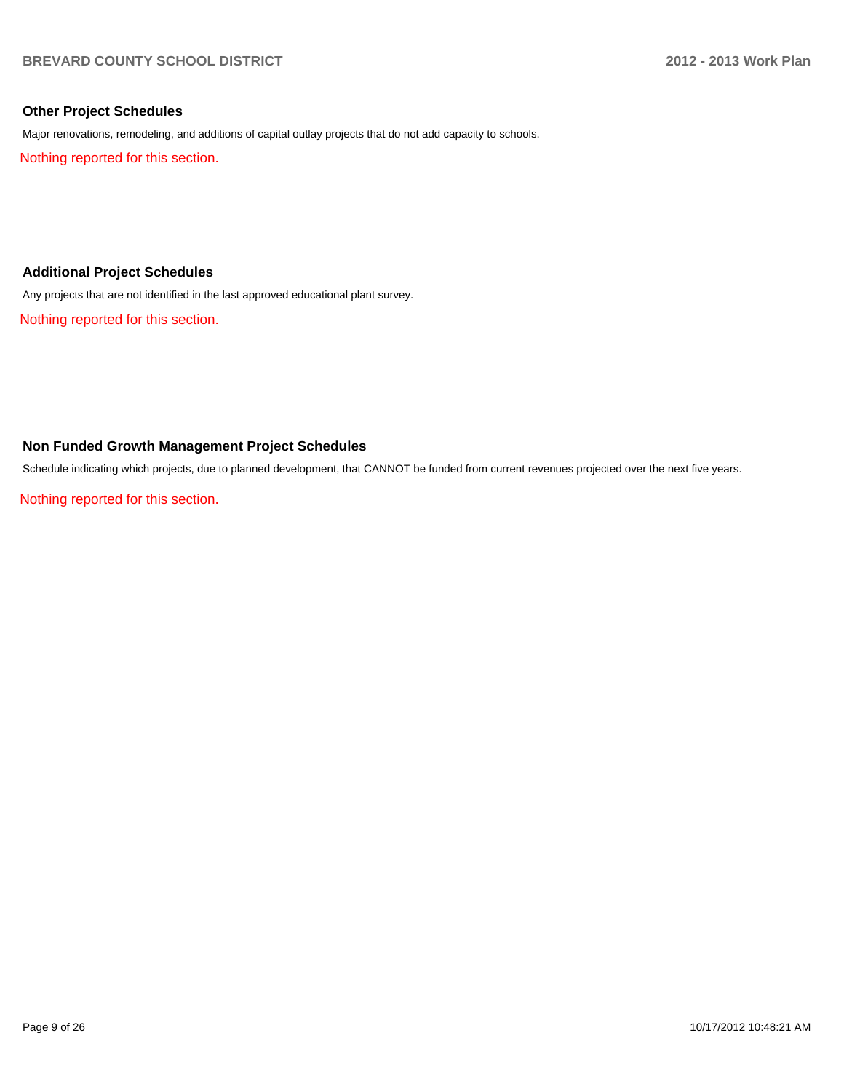### **Other Project Schedules**

Major renovations, remodeling, and additions of capital outlay projects that do not add capacity to schools.

Nothing reported for this section.

#### **Additional Project Schedules**

Any projects that are not identified in the last approved educational plant survey.

Nothing reported for this section.

### **Non Funded Growth Management Project Schedules**

Schedule indicating which projects, due to planned development, that CANNOT be funded from current revenues projected over the next five years.

Nothing reported for this section.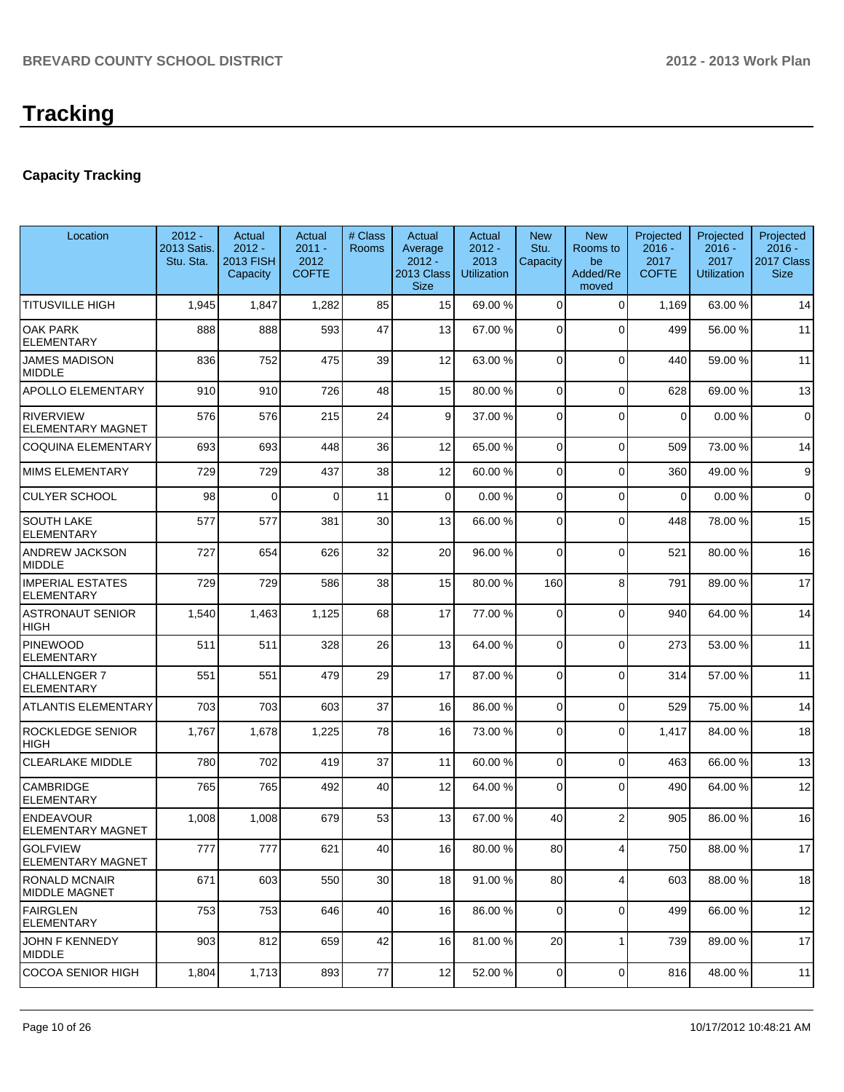# **Capacity Tracking**

| Location                                     | $2012 -$<br>2013 Satis.<br>Stu. Sta. | Actual<br>$2012 -$<br><b>2013 FISH</b><br>Capacity | Actual<br>$2011 -$<br>2012<br><b>COFTE</b> | # Class<br><b>Rooms</b> | Actual<br>Average<br>$2012 -$<br><b>2013 Class</b><br><b>Size</b> | Actual<br>$2012 -$<br>2013<br><b>Utilization</b> | <b>New</b><br>Stu.<br>Capacity | <b>New</b><br>Rooms to<br>be<br>Added/Re<br>moved | Projected<br>$2016 -$<br>2017<br><b>COFTE</b> | Projected<br>$2016 -$<br>2017<br><b>Utilization</b> | Projected<br>$2016 -$<br>2017 Class<br><b>Size</b> |
|----------------------------------------------|--------------------------------------|----------------------------------------------------|--------------------------------------------|-------------------------|-------------------------------------------------------------------|--------------------------------------------------|--------------------------------|---------------------------------------------------|-----------------------------------------------|-----------------------------------------------------|----------------------------------------------------|
| <b>TITUSVILLE HIGH</b>                       | 1,945                                | 1,847                                              | 1,282                                      | 85                      | 15                                                                | 69.00 %                                          | $\Omega$                       | $\Omega$                                          | 1,169                                         | 63.00 %                                             | 14                                                 |
| <b>OAK PARK</b><br><b>ELEMENTARY</b>         | 888                                  | 888                                                | 593                                        | 47                      | 13                                                                | 67.00 %                                          | $\overline{0}$                 | $\Omega$                                          | 499                                           | 56.00 %                                             | 11                                                 |
| <b>JAMES MADISON</b><br><b>MIDDLE</b>        | 836                                  | 752                                                | 475                                        | 39                      | 12                                                                | 63.00 %                                          | 0                              | $\Omega$                                          | 440                                           | 59.00 %                                             | 11                                                 |
| <b>APOLLO ELEMENTARY</b>                     | 910                                  | 910                                                | 726                                        | 48                      | 15                                                                | 80.00 %                                          | $\Omega$                       | $\Omega$                                          | 628                                           | 69.00 %                                             | 13                                                 |
| <b>RIVERVIEW</b><br><b>ELEMENTARY MAGNET</b> | 576                                  | 576                                                | 215                                        | 24                      | $\vert$ 9                                                         | 37.00 %                                          | $\Omega$                       | $\Omega$                                          | $\Omega$                                      | 0.00%                                               | $\mathbf 0$                                        |
| <b>COQUINA ELEMENTARY</b>                    | 693                                  | 693                                                | 448                                        | 36                      | 12                                                                | 65.00 %                                          | $\overline{0}$                 | $\Omega$                                          | 509                                           | 73.00 %                                             | 14                                                 |
| <b>MIMS ELEMENTARY</b>                       | 729                                  | 729                                                | 437                                        | 38                      | 12                                                                | 60.00 %                                          | $\overline{0}$                 | $\Omega$                                          | 360                                           | 49.00 %                                             | 9                                                  |
| <b>CULYER SCHOOL</b>                         | 98                                   | $\Omega$                                           | $\Omega$                                   | 11                      | $\overline{0}$                                                    | 0.00%                                            | $\overline{0}$                 | $\Omega$                                          | 0                                             | 0.00%                                               | $\Omega$                                           |
| <b>SOUTH LAKE</b><br><b>ELEMENTARY</b>       | 577                                  | 577                                                | 381                                        | 30                      | 13                                                                | 66.00 %                                          | $\overline{0}$                 | $\Omega$                                          | 448                                           | 78.00 %                                             | 15                                                 |
| <b>ANDREW JACKSON</b><br><b>MIDDLE</b>       | 727                                  | 654                                                | 626                                        | 32                      | 20                                                                | 96.00 %                                          | $\Omega$                       | $\Omega$                                          | 521                                           | 80.00 %                                             | 16                                                 |
| <b>IMPERIAL ESTATES</b><br><b>ELEMENTARY</b> | 729                                  | 729                                                | 586                                        | 38                      | 15                                                                | 80.00 %                                          | 160                            | 8                                                 | 791                                           | 89.00 %                                             | 17                                                 |
| <b>ASTRONAUT SENIOR</b><br>HIGH              | 1,540                                | 1,463                                              | 1,125                                      | 68                      | 17                                                                | 77.00 %                                          | $\Omega$                       | $\Omega$                                          | 940                                           | 64.00%                                              | 14                                                 |
| PINEWOOD<br><b>ELEMENTARY</b>                | 511                                  | 511                                                | 328                                        | 26                      | 13                                                                | 64.00 %                                          | $\overline{0}$                 | $\Omega$                                          | 273                                           | 53.00 %                                             | 11                                                 |
| <b>CHALLENGER 7</b><br><b>ELEMENTARY</b>     | 551                                  | 551                                                | 479                                        | 29                      | 17                                                                | 87.00 %                                          | 0                              | $\Omega$                                          | 314                                           | 57.00 %                                             | 11                                                 |
| <b>ATLANTIS ELEMENTARY</b>                   | 703                                  | 703                                                | 603                                        | 37                      | 16                                                                | 86.00 %                                          | 0                              | $\Omega$                                          | 529                                           | 75.00 %                                             | 14                                                 |
| <b>ROCKLEDGE SENIOR</b><br><b>HIGH</b>       | 1,767                                | 1,678                                              | 1,225                                      | 78                      | 16                                                                | 73.00 %                                          | 0                              | $\Omega$                                          | 1,417                                         | 84.00%                                              | 18                                                 |
| <b>CLEARLAKE MIDDLE</b>                      | 780                                  | 702                                                | 419                                        | 37                      | 11                                                                | 60.00 %                                          | $\overline{0}$                 | $\Omega$                                          | 463                                           | 66.00 %                                             | 13                                                 |
| <b>CAMBRIDGE</b><br><b>ELEMENTARY</b>        | 765                                  | 765                                                | 492                                        | 40                      | 12                                                                | 64.00 %                                          | 0                              | $\Omega$                                          | 490                                           | 64.00%                                              | 12                                                 |
| <b>ENDEAVOUR</b><br><b>ELEMENTARY MAGNET</b> | 1,008                                | 1,008                                              | 679                                        | 53                      | 13                                                                | 67.00 %                                          | 40                             | 2                                                 | 905                                           | 86.00 %                                             | 16                                                 |
| <b>GOLFVIEW</b><br><b>ELEMENTARY MAGNET</b>  | 777                                  | 777                                                | 621                                        | 40                      | 16                                                                | 80.00 %                                          | 80                             | $\frac{4}{ }$                                     | 750                                           | 88.00 %                                             | 17                                                 |
| <b>RONALD MCNAIR</b><br><b>MIDDLE MAGNET</b> | 671                                  | 603                                                | 550                                        | 30 <sup>2</sup>         | 18                                                                | 91.00 %                                          | 80                             | 4                                                 | 603                                           | 88.00 %                                             | 18                                                 |
| FAIRGLEN<br><b>ELEMENTARY</b>                | 753                                  | 753                                                | 646                                        | 40                      | 16                                                                | 86.00 %                                          | 0                              | $\Omega$                                          | 499                                           | 66.00 %                                             | 12                                                 |
| JOHN F KENNEDY<br><b>MIDDLE</b>              | 903                                  | 812                                                | 659                                        | 42                      | 16                                                                | 81.00 %                                          | 20 <sup>2</sup>                | 1                                                 | 739                                           | 89.00 %                                             | 17                                                 |
| COCOA SENIOR HIGH                            | 1,804                                | 1,713                                              | 893                                        | 77                      | 12                                                                | 52.00 %                                          | $\overline{0}$                 | $\mathbf 0$                                       | 816                                           | 48.00%                                              | 11                                                 |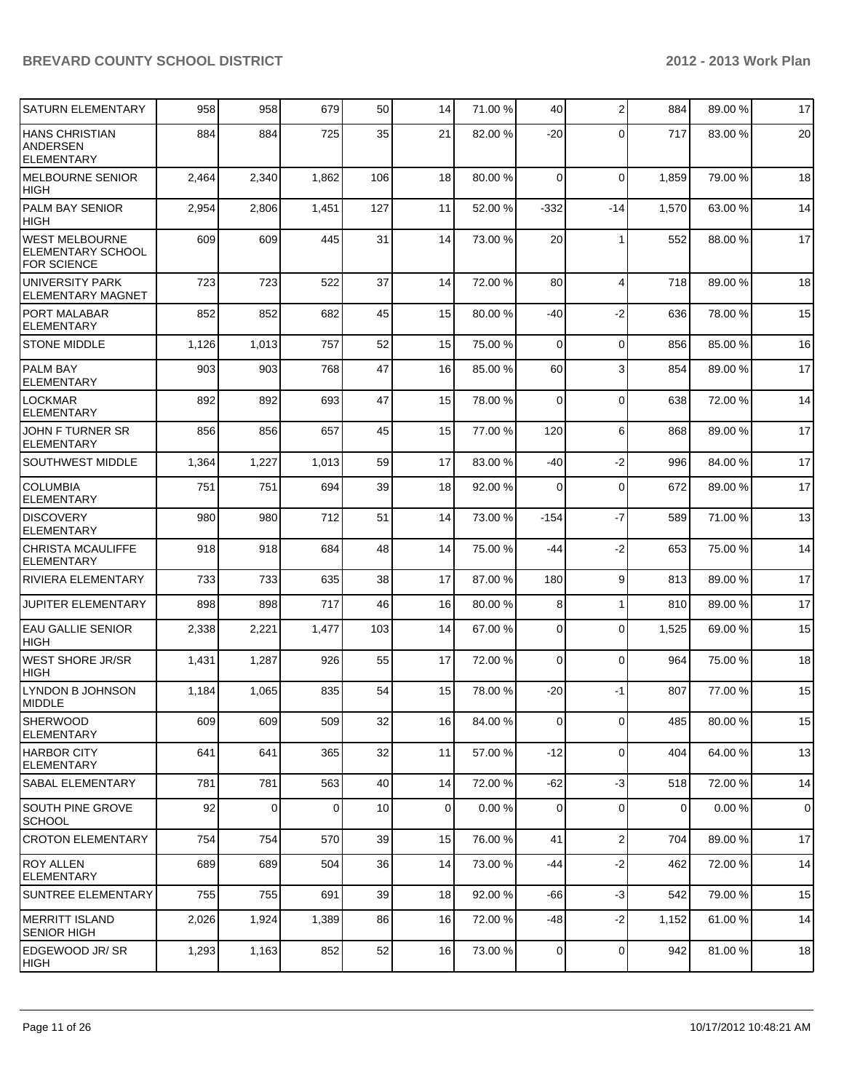| SATURN ELEMENTARY                                                       | 958   | 958   | 679      | 50  | 14             | 71.00 % | 40             | 2              | 884         | 89.00 % | 17             |
|-------------------------------------------------------------------------|-------|-------|----------|-----|----------------|---------|----------------|----------------|-------------|---------|----------------|
| <b>HANS CHRISTIAN</b><br>ANDERSEN<br><b>ELEMENTARY</b>                  | 884   | 884   | 725      | 35  | 21             | 82.00 % | $-20$          | $\Omega$       | 717         | 83.00 % | 20             |
| <b>MELBOURNE SENIOR</b><br><b>HIGH</b>                                  | 2,464 | 2,340 | 1,862    | 106 | 18             | 80.00 % | $\Omega$       | $\Omega$       | 1,859       | 79.00 % | 18             |
| PALM BAY SENIOR<br><b>HIGH</b>                                          | 2,954 | 2,806 | 1,451    | 127 | 11             | 52.00 % | $-332$         | $-14$          | 1,570       | 63.00 % | 14             |
| <b>WEST MELBOURNE</b><br><b>ELEMENTARY SCHOOL</b><br><b>FOR SCIENCE</b> | 609   | 609   | 445      | 31  | 14             | 73.00 % | 20             | 1              | 552         | 88.00 % | 17             |
| UNIVERSITY PARK<br>ELEMENTARY MAGNET                                    | 723   | 723   | 522      | 37  | 14             | 72.00 % | 80             | $\overline{4}$ | 718         | 89.00 % | 18             |
| PORT MALABAR<br><b>ELEMENTARY</b>                                       | 852   | 852   | 682      | 45  | 15             | 80.00 % | -40            | $-2$           | 636         | 78.00 % | 15             |
| <b>STONE MIDDLE</b>                                                     | 1,126 | 1,013 | 757      | 52  | 15             | 75.00 % | $\Omega$       | $\mathbf 0$    | 856         | 85.00 % | 16             |
| <b>PALM BAY</b><br><b>ELEMENTARY</b>                                    | 903   | 903   | 768      | 47  | 16             | 85.00 % | 60             | 3              | 854         | 89.00 % | 17             |
| <b>LOCKMAR</b><br><b>ELEMENTARY</b>                                     | 892   | 892   | 693      | 47  | 15             | 78.00 % | 0              | 0              | 638         | 72.00 % | 14             |
| JOHN F TURNER SR<br><b>ELEMENTARY</b>                                   | 856   | 856   | 657      | 45  | 15             | 77.00 % | 120            | 6              | 868         | 89.00 % | 17             |
| <b>SOUTHWEST MIDDLE</b>                                                 | 1,364 | 1,227 | 1,013    | 59  | 17             | 83.00 % | -40            | $-2$           | 996         | 84.00%  | 17             |
| <b>COLUMBIA</b><br><b>ELEMENTARY</b>                                    | 751   | 751   | 694      | 39  | 18             | 92.00 % | 0              | $\mathbf 0$    | 672         | 89.00 % | 17             |
| <b>DISCOVERY</b><br><b>ELEMENTARY</b>                                   | 980   | 980   | 712      | 51  | 14             | 73.00 % | $-154$         | $-7$           | 589         | 71.00 % | 13             |
| <b>CHRISTA MCAULIFFE</b><br><b>ELEMENTARY</b>                           | 918   | 918   | 684      | 48  | 14             | 75.00 % | -44            | $-2$           | 653         | 75.00 % | 14             |
| RIVIERA ELEMENTARY                                                      | 733   | 733   | 635      | 38  | 17             | 87.00 % | 180            | 9              | 813         | 89.00 % | 17             |
| JUPITER ELEMENTARY                                                      | 898   | 898   | 717      | 46  | 16             | 80.00 % | 8 <sup>1</sup> | 1              | 810         | 89.00 % | 17             |
| <b>EAU GALLIE SENIOR</b><br><b>HIGH</b>                                 | 2,338 | 2,221 | 1,477    | 103 | 14             | 67.00 % | $\Omega$       | 0              | 1,525       | 69.00 % | 15             |
| <b>WEST SHORE JR/SR</b><br><b>HIGH</b>                                  | 1,431 | 1,287 | 926      | 55  | 17             | 72.00 % | $\Omega$       | 0              | 964         | 75.00 % | 18             |
| LYNDON B JOHNSON<br>MIDDLE                                              | 1,184 | 1,065 | 835      | 54  | 15             | 78.00 % | $-20$          | -1             | 807         | 77.00 % | 15             |
| <b>SHERWOOD</b><br><b>ELEMENTARY</b>                                    | 609   | 609   | 509      | 32  | 16             | 84.00 % | $\overline{0}$ | $\overline{0}$ | 485         | 80.00 % | 15             |
| <b>HARBOR CITY</b><br><b>ELEMENTARY</b>                                 | 641   | 641   | 365      | 32  | 11             | 57.00 % | $-12$          | $\mathbf 0$    | 404         | 64.00%  | 13             |
| <b>SABAL ELEMENTARY</b>                                                 | 781   | 781   | 563      | 40  | 14             | 72.00 % | $-62$          | $-3$           | 518         | 72.00 % | 14             |
| <b>SOUTH PINE GROVE</b><br><b>SCHOOL</b>                                | 92    | 0     | $\Omega$ | 10  | $\overline{0}$ | 0.00%   | $\overline{0}$ | 0              | $\mathbf 0$ | 0.00%   | $\overline{0}$ |
| <b>CROTON ELEMENTARY</b>                                                | 754   | 754   | 570      | 39  | 15             | 76.00 % | 41             | $\overline{c}$ | 704         | 89.00 % | 17             |
| <b>ROY ALLEN</b><br><b>ELEMENTARY</b>                                   | 689   | 689   | 504      | 36  | 14             | 73.00 % | -44            | $-2$           | 462         | 72.00 % | 14             |
| SUNTREE ELEMENTARY                                                      | 755   | 755   | 691      | 39  | 18             | 92.00 % | $-66$          | -3             | 542         | 79.00 % | 15             |
| MERRITT ISLAND<br><b>SENIOR HIGH</b>                                    | 2,026 | 1,924 | 1,389    | 86  | 16             | 72.00 % | $-48$          | $-2$           | 1,152       | 61.00%  | 14             |
| EDGEWOOD JR/SR<br> HIGH                                                 | 1,293 | 1,163 | 852      | 52  | 16             | 73.00 % | $\overline{0}$ | $\mathbf 0$    | 942         | 81.00%  | 18             |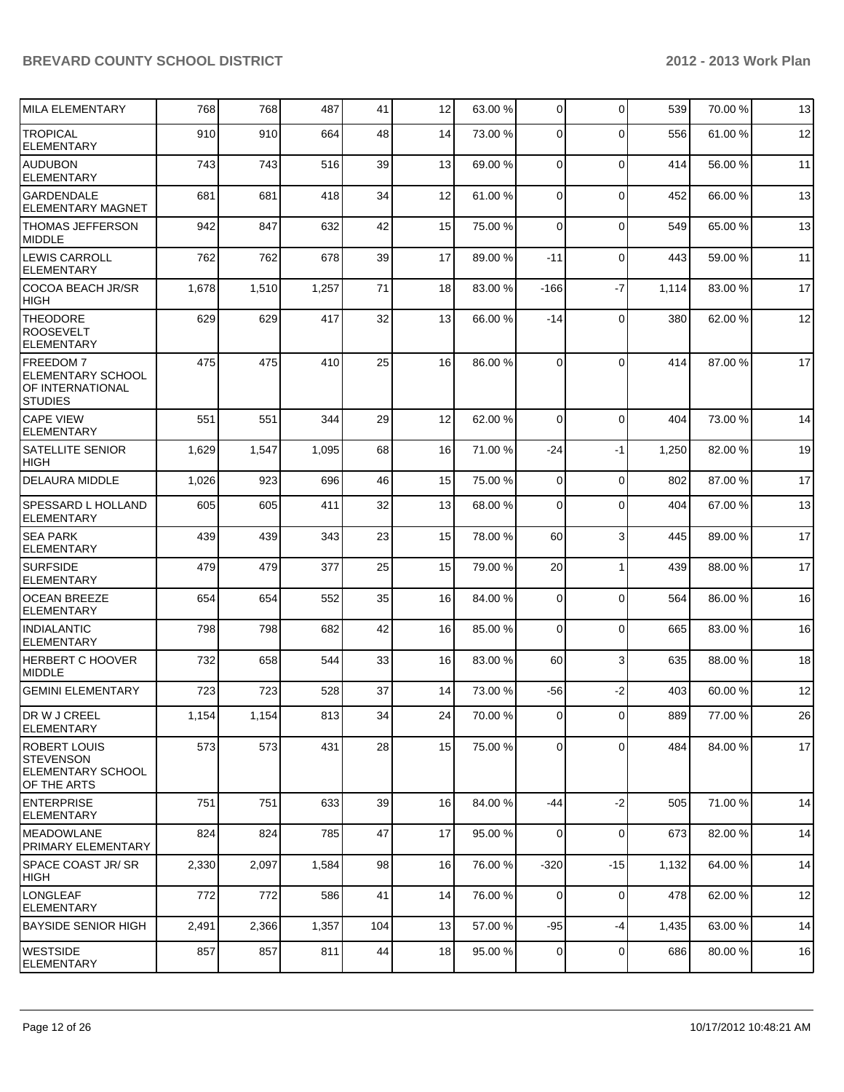| MILA ELEMENTARY                                                                    | 768   | 768   | 487   | 41  | 12 | 63.00 % | 0              | $\Omega$    | 539   | 70.00%  | 13 |
|------------------------------------------------------------------------------------|-------|-------|-------|-----|----|---------|----------------|-------------|-------|---------|----|
| <b>TROPICAL</b>                                                                    | 910   | 910   | 664   | 48  | 14 | 73.00 % | $\Omega$       | $\Omega$    | 556   | 61.00%  | 12 |
| ELEMENTARY                                                                         |       |       |       |     |    |         |                |             |       |         |    |
| <b>AUDUBON</b><br><b>ELEMENTARY</b>                                                | 743   | 743   | 516   | 39  | 13 | 69.00 % | $\Omega$       | $\mathbf 0$ | 414   | 56.00 % | 11 |
| <b>GARDENDALE</b><br><b>ELEMENTARY MAGNET</b>                                      | 681   | 681   | 418   | 34  | 12 | 61.00 % | $\overline{0}$ | $\mathbf 0$ | 452   | 66.00 % | 13 |
| <b>THOMAS JEFFERSON</b><br><b>MIDDLE</b>                                           | 942   | 847   | 632   | 42  | 15 | 75.00 % | $\Omega$       | $\Omega$    | 549   | 65.00 % | 13 |
| <b>LEWIS CARROLL</b><br>ELEMENTARY                                                 | 762   | 762   | 678   | 39  | 17 | 89.00 % | $-11$          | $\mathbf 0$ | 443   | 59.00 % | 11 |
| <b>COCOA BEACH JR/SR</b><br> HIGH                                                  | 1,678 | 1,510 | 1,257 | 71  | 18 | 83.00 % | $-166$         | $-7$        | 1,114 | 83.00 % | 17 |
| <b>THEODORE</b><br>ROOSEVELT<br>ELEMENTARY                                         | 629   | 629   | 417   | 32  | 13 | 66.00 % | $-14$          | $\mathbf 0$ | 380   | 62.00 % | 12 |
| <b>FREEDOM 7</b><br><b>ELEMENTARY SCHOOL</b><br>OF INTERNATIONAL<br><b>STUDIES</b> | 475   | 475   | 410   | 25  | 16 | 86.00 % | $\Omega$       | $\Omega$    | 414   | 87.00 % | 17 |
| <b>CAPE VIEW</b><br><b>ELEMENTARY</b>                                              | 551   | 551   | 344   | 29  | 12 | 62.00 % | $\overline{0}$ | $\mathbf 0$ | 404   | 73.00 % | 14 |
| <b>SATELLITE SENIOR</b><br><b>HIGH</b>                                             | 1,629 | 1,547 | 1,095 | 68  | 16 | 71.00 % | $-24$          | -1          | 1,250 | 82.00%  | 19 |
| <b>DELAURA MIDDLE</b>                                                              | 1,026 | 923   | 696   | 46  | 15 | 75.00 % | 0              | $\mathbf 0$ | 802   | 87.00 % | 17 |
| SPESSARD L HOLLAND<br>ELEMENTARY                                                   | 605   | 605   | 411   | 32  | 13 | 68.00 % | $\Omega$       | $\Omega$    | 404   | 67.00 % | 13 |
| <b>SEA PARK</b><br>ELEMENTARY                                                      | 439   | 439   | 343   | 23  | 15 | 78.00 % | 60             | 3           | 445   | 89.00 % | 17 |
| <b>SURFSIDE</b><br>ELEMENTARY                                                      | 479   | 479   | 377   | 25  | 15 | 79.00 % | 20             | 1           | 439   | 88.00 % | 17 |
| <b>OCEAN BREEZE</b><br>ELEMENTARY                                                  | 654   | 654   | 552   | 35  | 16 | 84.00 % | 0              | $\mathbf 0$ | 564   | 86.00 % | 16 |
| <b>INDIALANTIC</b><br><b>ELEMENTARY</b>                                            | 798   | 798   | 682   | 42  | 16 | 85.00 % | $\Omega$       | $\mathbf 0$ | 665   | 83.00 % | 16 |
| HERBERT C HOOVER<br><b>MIDDLE</b>                                                  | 732   | 658   | 544   | 33  | 16 | 83.00 % | 60             | 3           | 635   | 88.00 % | 18 |
| <b>GEMINI ELEMENTARY</b>                                                           | 723   | 723   | 528   | 37  | 14 | 73.00 % | -56            | $-2$        | 403   | 60.00 % | 12 |
| DR W J CREEL<br>ELEMENTARY                                                         | 1,154 | 1,154 | 813   | 34  | 24 | 70.00 % | 0              | $\pmb{0}$   | 889   | 77.00 % | 26 |
| ROBERT LOUIS<br>Istevenson<br> ELEMENTARY SCHOOL<br><b>OF THE ARTS</b>             | 573   | 573   | 431   | 28  | 15 | 75.00 % | $\Omega$       | $\Omega$    | 484   | 84.00%  | 17 |
| <b>ENTERPRISE</b><br><b>ELEMENTARY</b>                                             | 751   | 751   | 633   | 39  | 16 | 84.00 % | -44            | $-2$        | 505   | 71.00 % | 14 |
| <b>MEADOWLANE</b><br><b>PRIMARY ELEMENTARY</b>                                     | 824   | 824   | 785   | 47  | 17 | 95.00 % | $\overline{0}$ | $\mathbf 0$ | 673   | 82.00 % | 14 |
| SPACE COAST JR/SR<br> HIGH                                                         | 2,330 | 2,097 | 1,584 | 98  | 16 | 76.00 % | $-320$         | $-15$       | 1,132 | 64.00 % | 14 |
| LONGLEAF<br><b>ELEMENTARY</b>                                                      | 772   | 772   | 586   | 41  | 14 | 76.00 % | $\mathbf 0$    | $\mathbf 0$ | 478   | 62.00%  | 12 |
| <b>BAYSIDE SENIOR HIGH</b>                                                         | 2,491 | 2,366 | 1,357 | 104 | 13 | 57.00 % | $-95$          | -4          | 1,435 | 63.00 % | 14 |
| <b>WESTSIDE</b><br><b>ELEMENTARY</b>                                               | 857   | 857   | 811   | 44  | 18 | 95.00 % | 0              | $\mathbf 0$ | 686   | 80.00 % | 16 |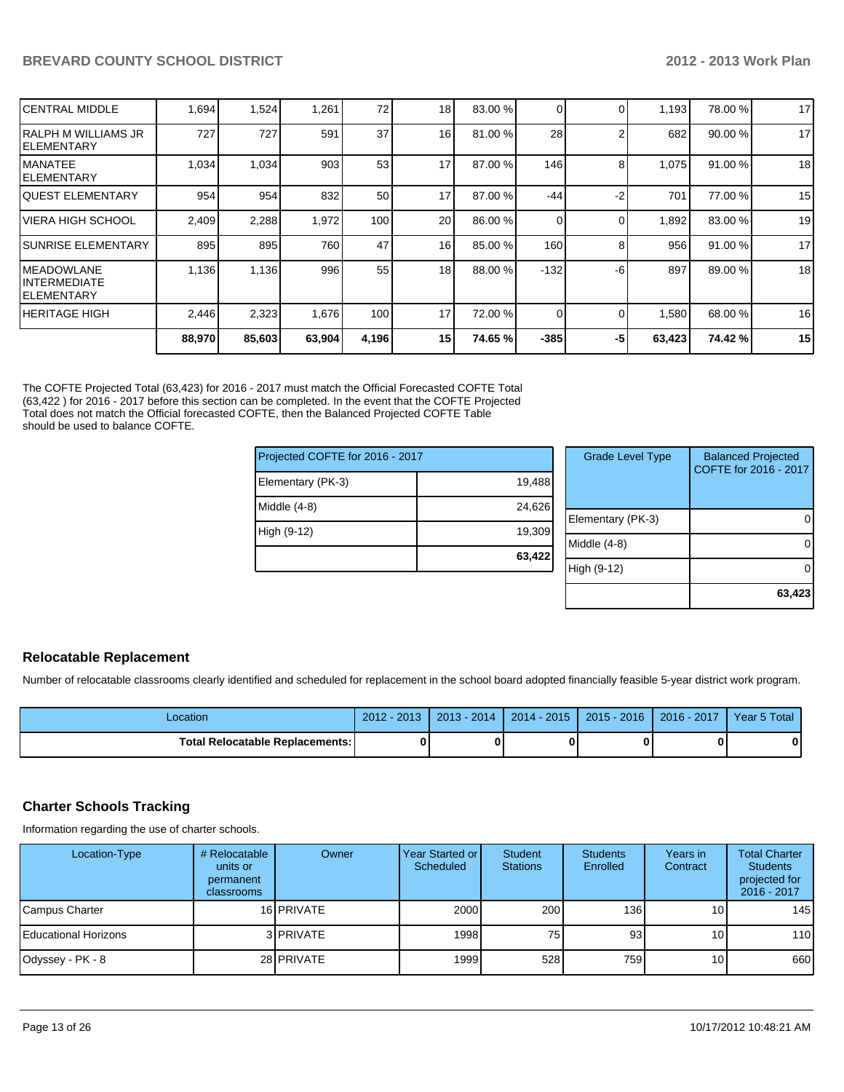| ICENTRAL MIDDLE                             | 1,694  | 1,524  | 1,261  | 72    | 18 <sub>1</sub> | 83.00 % |        |    | 1,193  | 78.00 % | 17 |
|---------------------------------------------|--------|--------|--------|-------|-----------------|---------|--------|----|--------|---------|----|
| IRALPH M WILLIAMS JR<br>IELEMENTARY         | 727    | 727    | 591    | 37    | 16              | 81.00 % | 28     |    | 682    | 90.00 % | 17 |
| IMANATEE<br>IELEMENTARY                     | 1,034  | 1,034  | 903    | 53    | 17              | 87.00 % | 146    | 8  | 1,075  | 91.00 % | 18 |
| IQUEST ELEMENTARY                           | 954    | 954    | 832    | 50    | 17              | 87.00 % | $-44$  | -2 | 701    | 77.00 % | 15 |
| IVIERA HIGH SCHOOL                          | 2,409  | 2,288  | 1,972  | 100   | 20 <sup>1</sup> | 86.00 % | 0      |    | 1,892  | 83.00 % | 19 |
| ISUNRISE ELEMENTARY                         | 895    | 895    | 760    | 47    | 16              | 85.00 % | 160    | 8  | 956    | 91.00 % | 17 |
| IMEADOWLANE<br>IINTERMEDIATE<br>IELEMENTARY | 1,136  | 1,136  | 996    | 55    | 18              | 88.00 % | $-132$ | -6 | 897    | 89.00 % | 18 |
| IHERITAGE HIGH                              | 2,446  | 2,323  | 1,676  | 100   | 17              | 72.00 % | 0      |    | 1,580  | 68.00 % | 16 |
|                                             | 88,970 | 85,603 | 63,904 | 4,196 | 15              | 74.65 % | $-385$ | -5 | 63,423 | 74.42%  | 15 |

The COFTE Projected Total (63,423) for 2016 - 2017 must match the Official Forecasted COFTE Total (63,422 ) for 2016 - 2017 before this section can be completed. In the event that the COFTE Projected Total does not match the Official forecasted COFTE, then the Balanced Projected COFTE Table should be used to balance COFTE.

| Projected COFTE for 2016 - 2017 |        |
|---------------------------------|--------|
| Elementary (PK-3)               | 19,488 |
| Middle $(4-8)$                  | 24,626 |
| High (9-12)                     | 19,309 |
|                                 | 63,422 |

| <b>Grade Level Type</b> | <b>Balanced Projected</b><br>COFTE for 2016 - 2017 |
|-------------------------|----------------------------------------------------|
| Elementary (PK-3)       |                                                    |
| Middle (4-8)            |                                                    |
| High (9-12)             |                                                    |
|                         | 63,423                                             |

## **Relocatable Replacement**

Number of relocatable classrooms clearly identified and scheduled for replacement in the school board adopted financially feasible 5-year district work program.

| Location                                 | 2012 - 2013 | $2013 - 2014$ | $2014 - 2015$ | 2015 - 2016 | $2016 - 2017$ | Year 5 Total |
|------------------------------------------|-------------|---------------|---------------|-------------|---------------|--------------|
| <b>Total Relocatable Replacements: I</b> | Λ           |               |               |             |               |              |

## **Charter Schools Tracking**

Information regarding the use of charter schools.

| Location-Type                | # Relocatable<br>units or<br>permanent<br>classrooms | Owner             | Year Started or I<br>Scheduled | <b>Student</b><br><b>Stations</b> | <b>Students</b><br>Enrolled | Years in<br>Contract | <b>Total Charter</b><br><b>Students</b><br>projected for<br>2016 - 2017 |
|------------------------------|------------------------------------------------------|-------------------|--------------------------------|-----------------------------------|-----------------------------|----------------------|-------------------------------------------------------------------------|
| Campus Charter               |                                                      | 16 <b>PRIVATE</b> | 2000                           | 200                               | 136 <sup>1</sup>            | 10 I                 | 145                                                                     |
| <b>IEducational Horizons</b> |                                                      | 3 PRIVATE         | 19981                          | 75                                | 93                          | 10 <sup>1</sup>      | 110                                                                     |
| Odyssey - PK - 8             |                                                      | 28 PRIVATE        | 1999                           | 528                               | 759 <b>I</b>                | 10 <sup>1</sup>      | 660                                                                     |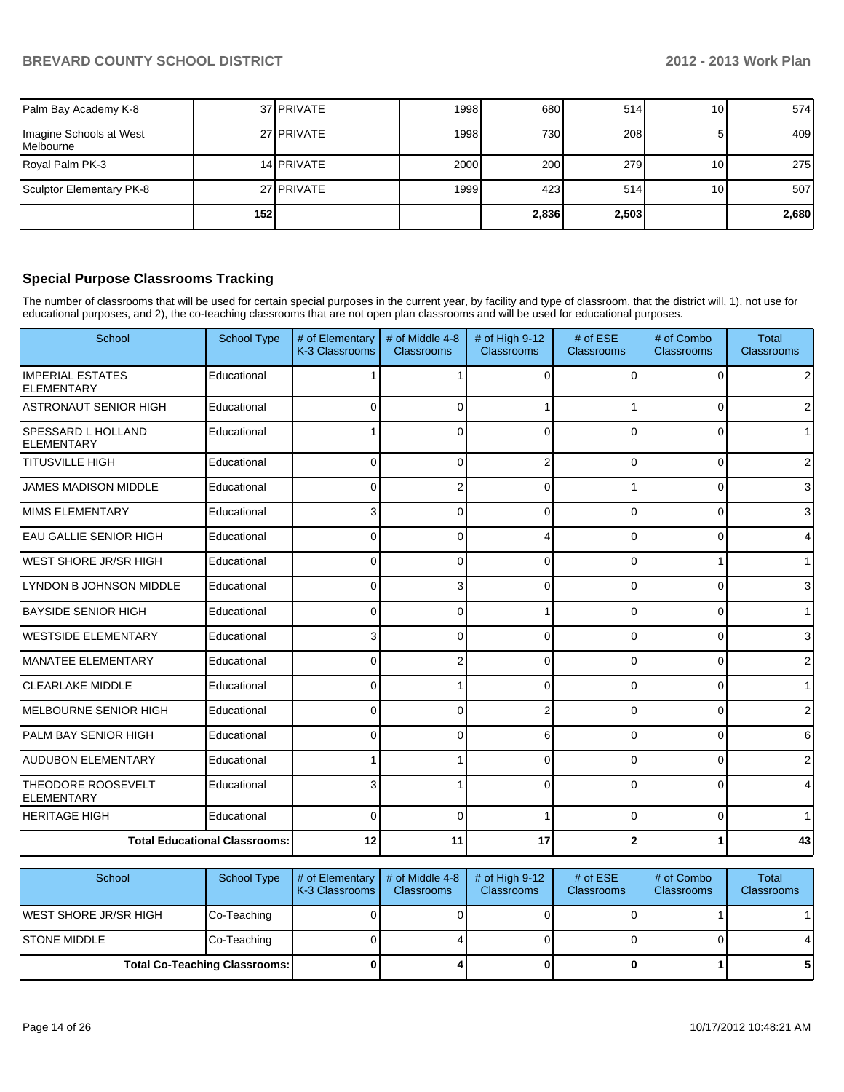| Palm Bay Academy K-8                 |     | 37 PRIVATE | 1998 | 680   | 514   | 10 I            | 574   |
|--------------------------------------|-----|------------|------|-------|-------|-----------------|-------|
| Imagine Schools at West<br>Melbourne |     | 27 PRIVATE | 1998 | 730 l | 208   | 51              | 409   |
| Royal Palm PK-3                      |     | 14 PRIVATE | 2000 | 200   | 279   | 10 <sup>1</sup> | 275   |
| Sculptor Elementary PK-8             |     | 27 PRIVATE | 1999 | 423   | 514   | 10 <sup>1</sup> | 507   |
|                                      | 152 |            |      | 2,836 | 2,503 |                 | 2,680 |

## **Special Purpose Classrooms Tracking**

The number of classrooms that will be used for certain special purposes in the current year, by facility and type of classroom, that the district will, 1), not use for educational purposes, and 2), the co-teaching classrooms that are not open plan classrooms and will be used for educational purposes.

| School                                         | <b>School Type</b> | # of Elementary<br>K-3 Classrooms | # of Middle 4-8<br><b>Classrooms</b> | # of High 9-12<br><b>Classrooms</b> | # of ESE<br>Classrooms | # of Combo<br><b>Classrooms</b> | <b>Total</b><br>Classrooms |
|------------------------------------------------|--------------------|-----------------------------------|--------------------------------------|-------------------------------------|------------------------|---------------------------------|----------------------------|
| <b>IMPERIAL ESTATES</b><br><b>ELEMENTARY</b>   | Educational        |                                   |                                      | ∩                                   | <sup>0</sup>           | $\Omega$                        | $\overline{2}$             |
| IASTRONAUT SENIOR HIGH                         | Educational        | 0                                 | 0                                    |                                     |                        | $\Omega$                        | $\overline{2}$             |
| <b>SPESSARD L HOLLAND</b><br><b>ELEMENTARY</b> | Educational        |                                   | 0                                    |                                     | $\Omega$               | 0                               | 1 <sup>1</sup>             |
| <b>TITUSVILLE HIGH</b>                         | Educational        | 0                                 | 0                                    |                                     | 0                      | $\Omega$                        | $\overline{2}$             |
| <b>JAMES MADISON MIDDLE</b>                    | Educational        | U                                 | $\overline{2}$                       | $\Omega$                            |                        | $\Omega$                        | 3                          |
| MIMS ELEMENTARY                                | Educational        |                                   | 0                                    | ∩                                   | U                      | 0                               | 3                          |
| <b>EAU GALLIE SENIOR HIGH</b>                  | Educational        | 0                                 | 0                                    |                                     | $\Omega$               | $\overline{0}$                  | 4                          |
| <b>WEST SHORE JR/SR HIGH</b>                   | Educational        | U                                 | 0                                    |                                     | $\Omega$               |                                 | $\mathbf{1}$               |
| LYNDON B JOHNSON MIDDLE                        | Educational        | 0                                 | 3                                    | ∩                                   | $\Omega$               | $\overline{0}$                  | $\overline{3}$             |
| <b>BAYSIDE SENIOR HIGH</b>                     | Educational        | 0                                 | 0                                    |                                     | 0                      | $\Omega$                        | $\mathbf{1}$               |
| <b>WESTSIDE ELEMENTARY</b>                     | Educational        | 3                                 | 0                                    | $\Omega$                            | $\Omega$               | $\Omega$                        | 3                          |
| MANATEE ELEMENTARY                             | Educational        | U                                 | 2                                    |                                     | U                      | 0                               | $\sqrt{2}$                 |
| <b>CLEARLAKE MIDDLE</b>                        | Educational        | 0                                 |                                      | $\Omega$                            | $\Omega$               | $\overline{0}$                  | $\mathbf{1}$               |
| IMELBOURNE SENIOR HIGH                         | Educational        | $\Omega$                          | $\Omega$                             |                                     | $\Omega$               | 0                               | $\overline{2}$             |
| IPALM BAY SENIOR HIGH                          | Educational        | $\Omega$                          | 0                                    | 6                                   | $\Omega$               | $\Omega$                        | 6                          |
| <b>AUDUBON ELEMENTARY</b>                      | Educational        |                                   |                                      |                                     | $\Omega$               | $\Omega$                        | $\overline{2}$             |
| <b>THEODORE ROOSEVELT</b><br><b>ELEMENTARY</b> | Educational        |                                   |                                      |                                     | $\Omega$               | 0                               | $\overline{4}$             |
| <b>HERITAGE HIGH</b>                           | Educational        | U                                 | 0                                    |                                     | $\Omega$               | $\Omega$                        | $\mathbf{1}$               |
| <b>Total Educational Classrooms:</b>           |                    | 12                                | 11                                   | 17                                  |                        | 1                               | 43                         |

| School                 | School Type                          | $\vert \#$ of Elementary $\vert \#$ of Middle 4-8<br>K-3 Classrooms I | <b>Classrooms</b> | # of High $9-12$<br><b>Classrooms</b> | # of $ESE$<br><b>Classrooms</b> | # of Combo<br><b>Classrooms</b> | <b>Total</b><br><b>Classrooms</b> |
|------------------------|--------------------------------------|-----------------------------------------------------------------------|-------------------|---------------------------------------|---------------------------------|---------------------------------|-----------------------------------|
| IWEST SHORE JR/SR HIGH | Co-Teaching                          |                                                                       |                   |                                       |                                 |                                 |                                   |
| ISTONE MIDDLE          | Co-Teaching                          |                                                                       |                   |                                       |                                 |                                 | 4                                 |
|                        | <b>Total Co-Teaching Classrooms:</b> |                                                                       |                   |                                       |                                 |                                 | 5                                 |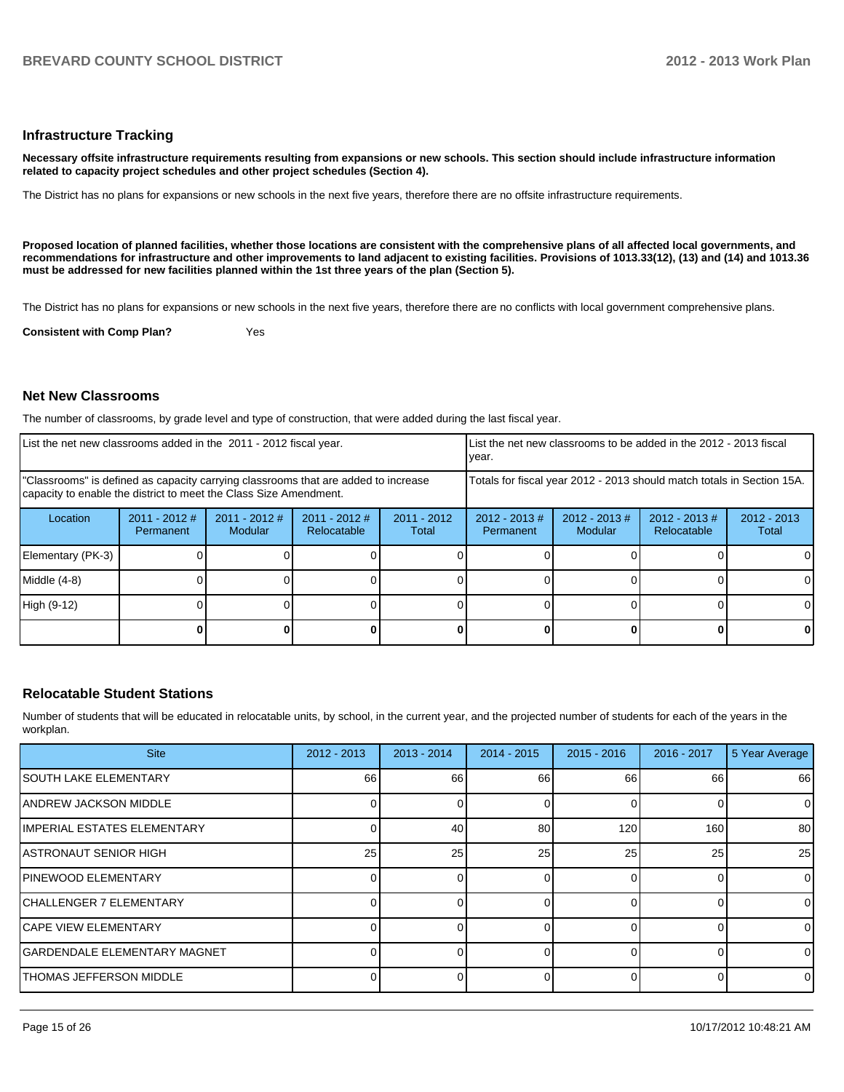#### **Infrastructure Tracking**

**Necessary offsite infrastructure requirements resulting from expansions or new schools. This section should include infrastructure information related to capacity project schedules and other project schedules (Section 4).**

The District has no plans for expansions or new schools in the next five years, therefore there are no offsite infrastructure requirements.

**Proposed location of planned facilities, whether those locations are consistent with the comprehensive plans of all affected local governments, and recommendations for infrastructure and other improvements to land adjacent to existing facilities. Provisions of 1013.33(12), (13) and (14) and 1013.36 must be addressed for new facilities planned within the 1st three years of the plan (Section 5).**

The District has no plans for expansions or new schools in the next five years, therefore there are no conflicts with local government comprehensive plans.

**Consistent with Comp Plan?** Yes

#### **Net New Classrooms**

The number of classrooms, by grade level and type of construction, that were added during the last fiscal year.

| List the net new classrooms added in the 2011 - 2012 fiscal year.                                                                                       |                              |                                   |                                | List the net new classrooms to be added in the 2012 - 2013 fiscal<br>Ivear. |                               |                             |                                 |                        |
|---------------------------------------------------------------------------------------------------------------------------------------------------------|------------------------------|-----------------------------------|--------------------------------|-----------------------------------------------------------------------------|-------------------------------|-----------------------------|---------------------------------|------------------------|
| "Classrooms" is defined as capacity carrying classrooms that are added to increase<br>capacity to enable the district to meet the Class Size Amendment. |                              |                                   |                                | Totals for fiscal year 2012 - 2013 should match totals in Section 15A.      |                               |                             |                                 |                        |
| Location                                                                                                                                                | $2011 - 2012$ #<br>Permanent | $2011 - 2012$ #<br><b>Modular</b> | $2011 - 2012$ #<br>Relocatable | $2011 - 2012$<br>Total                                                      | $2012 - 2013 \#$<br>Permanent | $2012 - 2013 \#$<br>Modular | $2012 - 2013 \#$<br>Relocatable | $2012 - 2013$<br>Total |
| Elementary (PK-3)                                                                                                                                       |                              |                                   |                                |                                                                             |                               |                             |                                 |                        |
| Middle (4-8)                                                                                                                                            |                              |                                   |                                |                                                                             |                               |                             |                                 |                        |
| High (9-12)                                                                                                                                             |                              |                                   |                                |                                                                             |                               |                             |                                 |                        |
|                                                                                                                                                         |                              |                                   |                                |                                                                             |                               |                             |                                 |                        |

#### **Relocatable Student Stations**

Number of students that will be educated in relocatable units, by school, in the current year, and the projected number of students for each of the years in the workplan.

| <b>Site</b>                     | $2012 - 2013$ | $2013 - 2014$ | $2014 - 2015$ | $2015 - 2016$ | $2016 - 2017$ | 5 Year Average |
|---------------------------------|---------------|---------------|---------------|---------------|---------------|----------------|
| ISOUTH LAKE ELEMENTARY          | 66            | 66            | 66            | 66            | 66            | 66             |
| IANDREW JACKSON MIDDLE          |               |               |               |               | 0             | $\mathbf 0$    |
| IIMPERIAL ESTATES ELEMENTARY    |               | 40            | 80            | 120           | 160           | 80             |
| IASTRONAUT SENIOR HIGH          | 25            | 25            | 25            | 25            | 25            | 25             |
| <b>IPINEWOOD ELEMENTARY</b>     |               |               |               |               | <sup>0</sup>  | 0              |
| ICHALLENGER 7 ELEMENTARY        |               |               |               |               |               | 0              |
| <b>ICAPE VIEW ELEMENTARY</b>    |               |               |               |               |               | $\mathbf 0$    |
| IGARDENDALE ELEMENTARY MAGNET   |               |               |               |               | <sup>0</sup>  | $\mathbf 0$    |
| <b>ITHOMAS JEFFERSON MIDDLE</b> |               |               |               |               | 0             | $\mathbf 0$    |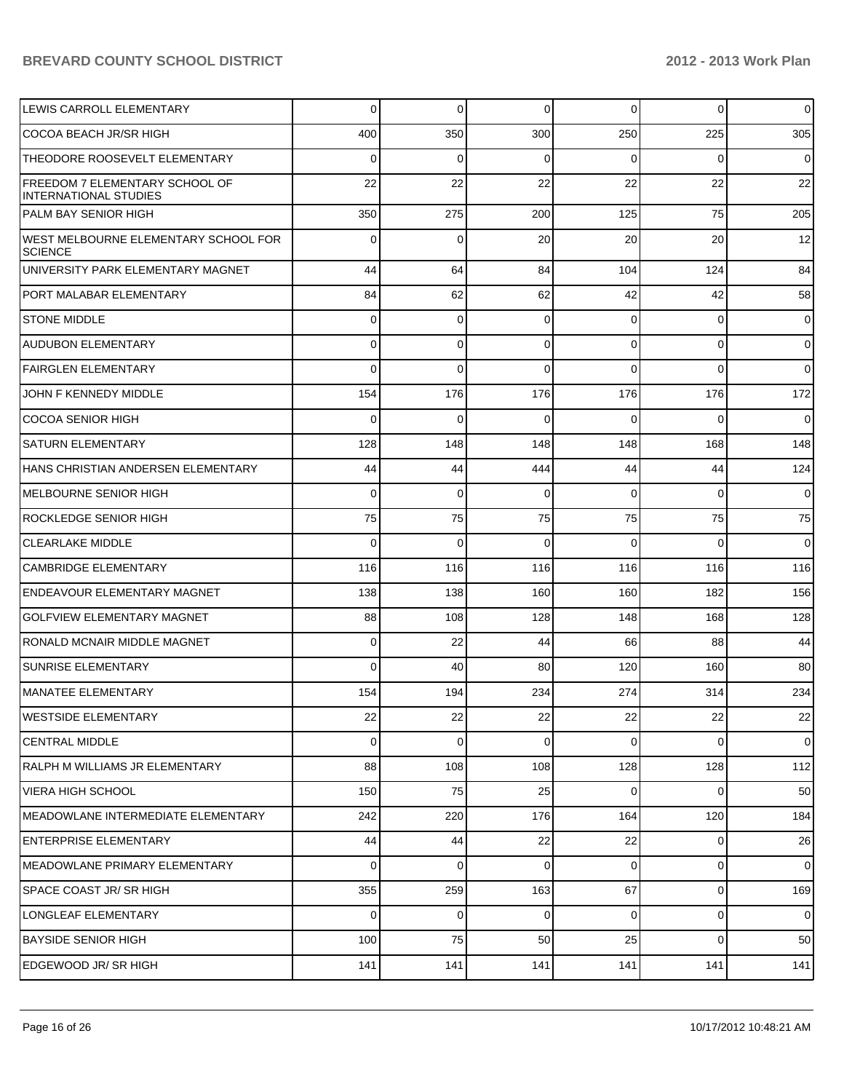| LEWIS CARROLL ELEMENTARY                                              | 0   | $\overline{0}$ | $\overline{0}$ | 0        | $\mathbf 0$ | $\mathsf 0$ |
|-----------------------------------------------------------------------|-----|----------------|----------------|----------|-------------|-------------|
| COCOA BEACH JR/SR HIGH                                                | 400 | 350            | 300            | 250      | 225         | 305         |
| THEODORE ROOSEVELT ELEMENTARY                                         | 0   | 0              | $\Omega$       | 0        | 0           | $\mathbf 0$ |
| <b>FREEDOM 7 ELEMENTARY SCHOOL OF</b><br><b>INTERNATIONAL STUDIES</b> | 22  | 22             | 22             | 22       | 22          | 22          |
| PALM BAY SENIOR HIGH                                                  | 350 | 275            | 200            | 125      | 75          | 205         |
| <b>WEST MELBOURNE ELEMENTARY SCHOOL FOR</b><br><b>SCIENCE</b>         | 0   | $\Omega$       | 20             | 20       | 20          | 12          |
| UNIVERSITY PARK ELEMENTARY MAGNET                                     | 44  | 64             | 84             | 104      | 124         | 84          |
| PORT MALABAR ELEMENTARY                                               | 84  | 62             | 62             | 42       | 42          | 58          |
| <b>STONE MIDDLE</b>                                                   | 0   | 0              | $\Omega$       | 0        | 0           | $\mathbf 0$ |
| <b>AUDUBON ELEMENTARY</b>                                             | 0   | $\Omega$       | $\Omega$       | 0        | 0           | $\mathbf 0$ |
| <b>FAIRGLEN ELEMENTARY</b>                                            | 0   | $\Omega$       | $\Omega$       | $\Omega$ | 0           | $\mathbf 0$ |
| JOHN F KENNEDY MIDDLE                                                 | 154 | 176            | 176            | 176      | 176         | 172         |
| <b>COCOA SENIOR HIGH</b>                                              | 0   | $\Omega$       | $\Omega$       | 0        | $\Omega$    | $\mathbf 0$ |
| <b>SATURN ELEMENTARY</b>                                              | 128 | 148            | 148            | 148      | 168         | 148         |
| HANS CHRISTIAN ANDERSEN ELEMENTARY                                    | 44  | 44             | 444            | 44       | 44          | 124         |
| <b>MELBOURNE SENIOR HIGH</b>                                          | 0   | $\mathbf 0$    | $\Omega$       | 0        | 0           | $\mathbf 0$ |
| <b>ROCKLEDGE SENIOR HIGH</b>                                          | 75  | 75             | 75             | 75       | 75          | 75          |
| <b>CLEARLAKE MIDDLE</b>                                               | 0   | 0              | $\Omega$       | $\Omega$ | $\Omega$    | $\mathbf 0$ |
| <b>CAMBRIDGE ELEMENTARY</b>                                           | 116 | 116            | 116            | 116      | 116         | 116         |
| <b>ENDEAVOUR ELEMENTARY MAGNET</b>                                    | 138 | 138            | 160            | 160      | 182         | 156         |
| <b>GOLFVIEW ELEMENTARY MAGNET</b>                                     | 88  | 108            | 128            | 148      | 168         | 128         |
| RONALD MCNAIR MIDDLE MAGNET                                           | 0   | 22             | 44             | 66       | 88          | 44          |
| <b>SUNRISE ELEMENTARY</b>                                             | 0   | 40             | 80             | 120      | 160         | 80          |
| MANATEE ELEMENTARY                                                    | 154 | 194            | 234            | 274      | 314         | 234         |
| <b>WESTSIDE ELEMENTARY</b>                                            | 22  | 22             | 22             | 22       | 22          | 22          |
| <b>CENTRAL MIDDLE</b>                                                 | 0   | 0              | $\Omega$       | 0        | 0           | $\mathbf 0$ |
| RALPH M WILLIAMS JR ELEMENTARY                                        | 88  | 108            | 108            | 128      | 128         | 112         |
| <b>VIERA HIGH SCHOOL</b>                                              | 150 | 75             | 25             | 0        | 0           | 50          |
| MEADOWLANE INTERMEDIATE ELEMENTARY                                    | 242 | 220            | 176            | 164      | 120         | 184         |
| <b>ENTERPRISE ELEMENTARY</b>                                          | 44  | 44             | 22             | 22       | 0           | 26          |
| MEADOWLANE PRIMARY ELEMENTARY                                         | 0   | 0              | $\mathbf 0$    | 0        | 0           | $\mathbf 0$ |
| <b>SPACE COAST JR/ SR HIGH</b>                                        | 355 | 259            | 163            | 67       | 0           | 169         |
| LONGLEAF ELEMENTARY                                                   | 0   | 0              | $\mathbf 0$    | 0        | 0           | $\mathbf 0$ |
| <b>BAYSIDE SENIOR HIGH</b>                                            | 100 | 75             | 50             | 25       | 0           | 50          |
| EDGEWOOD JR/SR HIGH                                                   | 141 | 141            | 141            | 141      | 141         | 141         |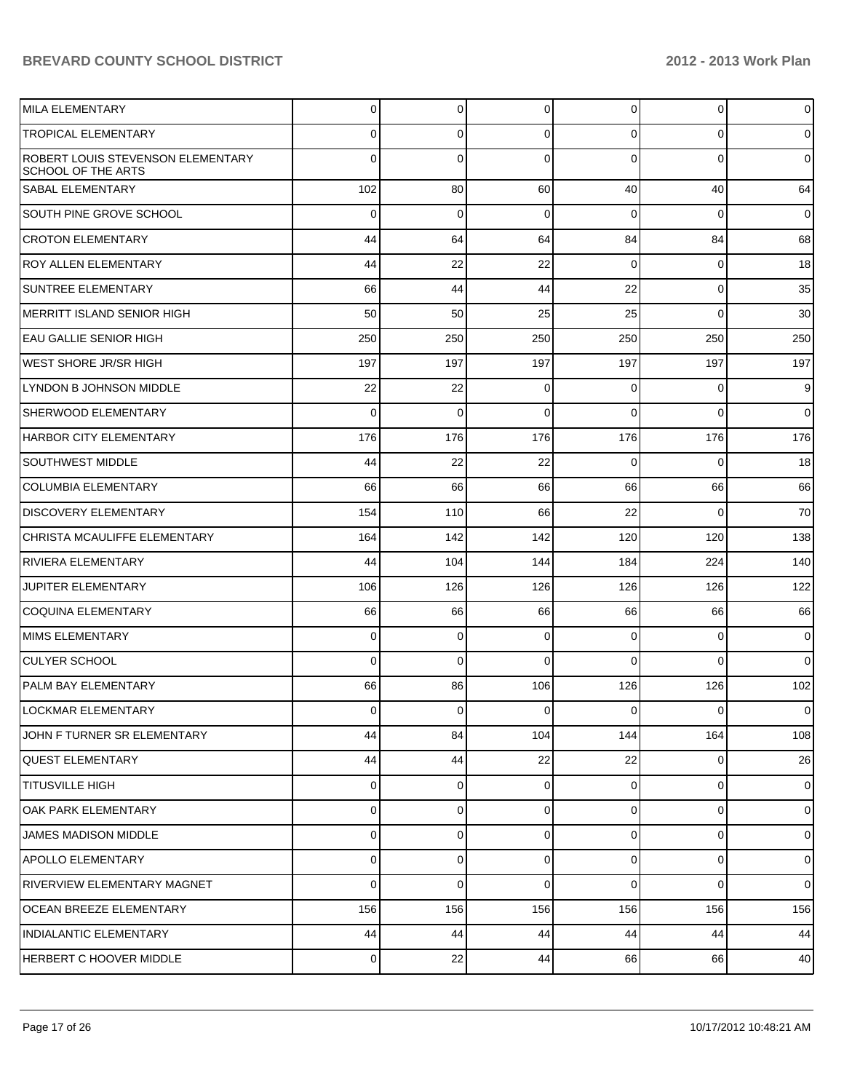| <b>MILA ELEMENTARY</b>                                                | $\overline{0}$ | 0           | 0              | $\overline{0}$ | 0            | $\overline{0}$ |
|-----------------------------------------------------------------------|----------------|-------------|----------------|----------------|--------------|----------------|
| <b>TROPICAL ELEMENTARY</b>                                            | 0              | 0           | 0              | 0              | 0            | 0              |
| <b>ROBERT LOUIS STEVENSON ELEMENTARY</b><br><b>SCHOOL OF THE ARTS</b> | 0              | 0           | 0              | 0              | $\Omega$     | $\overline{0}$ |
| <b>SABAL ELEMENTARY</b>                                               | 102            | 80          | 60             | 40             | 40           | 64             |
| <b>SOUTH PINE GROVE SCHOOL</b>                                        | 0              | 0           | 0              | $\Omega$       | 0            | $\overline{0}$ |
| <b>CROTON ELEMENTARY</b>                                              | 44             | 64          | 64             | 84             | 84           | 68             |
| <b>ROY ALLEN ELEMENTARY</b>                                           | 44             | 22          | 22             | $\overline{0}$ | 0            | 18             |
| <b>SUNTREE ELEMENTARY</b>                                             | 66             | 44          | 44             | 22             | $\mathbf 0$  | 35             |
| MERRITT ISLAND SENIOR HIGH                                            | 50             | 50          | 25             | 25             | $\Omega$     | 30             |
| EAU GALLIE SENIOR HIGH                                                | 250            | 250         | 250            | 250            | 250          | 250            |
| <b>WEST SHORE JR/SR HIGH</b>                                          | 197            | 197         | 197            | 197            | 197          | 197            |
| LYNDON B JOHNSON MIDDLE                                               | 22             | 22          | 0              | $\Omega$       | 0            | 9              |
| <b>SHERWOOD ELEMENTARY</b>                                            | $\Omega$       | $\mathbf 0$ | $\Omega$       | $\Omega$       | $\Omega$     | $\overline{0}$ |
| HARBOR CITY ELEMENTARY                                                | 176            | 176         | 176            | 176            | 176          | 176            |
| <b>SOUTHWEST MIDDLE</b>                                               | 44             | 22          | 22             | $\Omega$       | $\Omega$     | 18             |
| <b>COLUMBIA ELEMENTARY</b>                                            | 66             | 66          | 66             | 66             | 66           | 66             |
| <b>DISCOVERY ELEMENTARY</b>                                           | 154            | 110         | 66             | 22             | $\Omega$     | 70             |
| CHRISTA MCAULIFFE ELEMENTARY                                          | 164            | 142         | 142            | 120            | 120          | 138            |
| <b>RIVIERA ELEMENTARY</b>                                             | 44             | 104         | 144            | 184            | 224          | 140            |
| JUPITER ELEMENTARY                                                    | 106            | 126         | 126            | 126            | 126          | 122            |
| <b>COQUINA ELEMENTARY</b>                                             | 66             | 66          | 66             | 66             | 66           | 66             |
| MIMS ELEMENTARY                                                       | $\overline{0}$ | 0           | 0              | $\Omega$       | 0            | $\overline{0}$ |
| <b>CULYER SCHOOL</b>                                                  | $\Omega$       | $\mathbf 0$ | $\Omega$       | $\Omega$       | $\Omega$     | $\overline{0}$ |
| PALM BAY ELEMENTARY                                                   | 66             | 86          | 106            | 126            | 126          | 102            |
| ILOCKMAR ELEMENTARY                                                   | $\overline{0}$ | 0           | $\overline{0}$ | $\overline{0}$ | $\mathbf{0}$ | $\overline{0}$ |
| JOHN F TURNER SR ELEMENTARY                                           | 44             | 84          | 104            | 144            | 164          | 108            |
| <b>QUEST ELEMENTARY</b>                                               | 44             | 44          | 22             | 22             | 0            | 26             |
| <b>TITUSVILLE HIGH</b>                                                | $\overline{0}$ | 0           | 0              | $\overline{0}$ | $\mathbf 0$  | $\overline{0}$ |
| OAK PARK ELEMENTARY                                                   | $\overline{0}$ | 0           | 0              | $\overline{0}$ | 0            | $\overline{0}$ |
| <b>JAMES MADISON MIDDLE</b>                                           | $\overline{0}$ | 0           | 0              | $\overline{0}$ | 0            | $\overline{0}$ |
| <b>APOLLO ELEMENTARY</b>                                              | $\Omega$       | 0           | 0              | $\overline{0}$ | $\mathbf 0$  | $\overline{0}$ |
| <b>RIVERVIEW ELEMENTARY MAGNET</b>                                    | $\Omega$       | 0           | $\Omega$       | $\Omega$       | 0            | $\overline{0}$ |
| <b>OCEAN BREEZE ELEMENTARY</b>                                        | 156            | 156         | 156            | 156            | 156          | 156            |
| INDIALANTIC ELEMENTARY                                                | 44             | 44          | 44             | 44             | 44           | 44             |
| <b>HERBERT C HOOVER MIDDLE</b>                                        | $\overline{0}$ | 22          | 44             | 66             | 66           | 40             |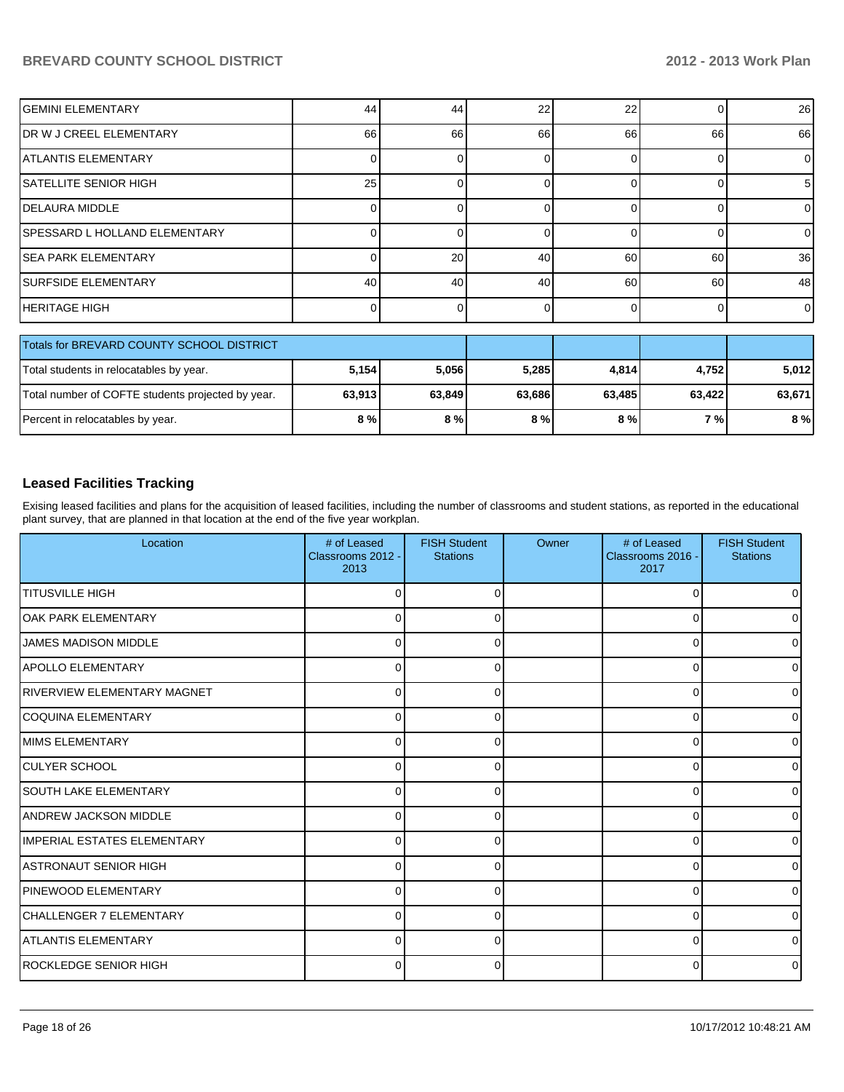| <b>GEMINI ELEMENTARY</b>                  | 44    | 44              | 22    | 22    |       | 26             |
|-------------------------------------------|-------|-----------------|-------|-------|-------|----------------|
| IDR W J CREEL ELEMENTARY                  | 66    | 66              | 66    | 66    | 66    | 66             |
| <b>ATLANTIS ELEMENTARY</b>                |       |                 |       | ∩     |       | $\overline{0}$ |
| ISATELLITE SENIOR HIGH                    | 25    |                 |       | 0     |       | 5              |
| IDELAURA MIDDLE                           |       |                 |       |       |       | $\overline{0}$ |
| ISPESSARD L HOLLAND ELEMENTARY            |       |                 |       | ∩     |       | $\overline{0}$ |
| ISEA PARK ELEMENTARY                      |       | 20 <sup>1</sup> | 40    | 60    | 60    | 36             |
| <b>ISURFSIDE ELEMENTARY</b>               | 40    | 40              | 40    | 60    | 60    | 48             |
| IHERITAGE HIGH                            |       |                 |       | 0     |       | $\Omega$       |
|                                           |       |                 |       |       |       |                |
| Totals for BREVARD COUNTY SCHOOL DISTRICT |       |                 |       |       |       |                |
| Total students in relocatables by year.   | 5.154 | 5.056           | 5.285 | 4.814 | 4.752 | 5.012          |

| Total students in relocatables by year.           | 5.154  | 5,056  | 5.285  | 4.814  | 4.7521  | 5,012  |
|---------------------------------------------------|--------|--------|--------|--------|---------|--------|
| Total number of COFTE students projected by year. | 63.913 | 63,849 | 63.686 | 63.485 | 63.4221 | 63,671 |
| Percent in relocatables by year.                  | 8%     | 8 % I  | 8 % I  | 8%     | 7 % I   | $8\%$  |

# **Leased Facilities Tracking**

Exising leased facilities and plans for the acquisition of leased facilities, including the number of classrooms and student stations, as reported in the educational plant survey, that are planned in that location at the end of the five year workplan.

| Location                     | # of Leased<br>Classrooms 2012 -<br>2013 | <b>FISH Student</b><br><b>Stations</b> | Owner | # of Leased<br>Classrooms 2016 -<br>2017 | <b>FISH Student</b><br><b>Stations</b> |
|------------------------------|------------------------------------------|----------------------------------------|-------|------------------------------------------|----------------------------------------|
| <b>TITUSVILLE HIGH</b>       | U                                        |                                        |       | 0                                        | 01                                     |
| lOAK PARK ELEMENTARY         | $\Omega$                                 | 0                                      |       | $\Omega$                                 | 01                                     |
| <b>JAMES MADISON MIDDLE</b>  | $\Omega$                                 | 0                                      |       | 0                                        | $\overline{0}$                         |
| IAPOLLO ELEMENTARY           | $\Omega$                                 | <sup>0</sup>                           |       | $\Omega$                                 | $\overline{0}$                         |
| IRIVERVIEW ELEMENTARY MAGNET | $\Omega$                                 | <sup>0</sup>                           |       | O                                        | 0                                      |
| COQUINA ELEMENTARY           | $\Omega$                                 | O                                      |       | 0                                        | $\overline{0}$                         |
| <b>MIMS ELEMENTARY</b>       | $\Omega$                                 | ∩                                      |       | $\Omega$                                 | $\overline{0}$                         |
| <b>CULYER SCHOOL</b>         | U                                        |                                        |       | 0                                        | $\overline{0}$                         |
| <b>SOUTH LAKE ELEMENTARY</b> | $\Omega$                                 |                                        |       | $\Omega$                                 | $\overline{0}$                         |
| <b>ANDREW JACKSON MIDDLE</b> | U                                        |                                        |       | 0                                        | $\overline{0}$                         |
| IIMPERIAL ESTATES ELEMENTARY | U                                        |                                        |       | 0                                        | $\overline{0}$                         |
| IASTRONAUT SENIOR HIGH       | U                                        | ∩                                      |       | $\Omega$                                 | $\overline{0}$                         |
| <b>IPINEWOOD ELEMENTARY</b>  | 0                                        | 0                                      |       | 0                                        | $\overline{0}$                         |
| ICHALLENGER 7 ELEMENTARY     | $\Omega$                                 | <sup>0</sup>                           |       | 0                                        | 0l                                     |
| IATLANTIS ELEMENTARY         | $\Omega$                                 | 0                                      |       | $\Omega$                                 | 0                                      |
| IROCKLEDGE SENIOR HIGH       | $\Omega$                                 | $\Omega$                               |       | 0                                        | $\overline{0}$                         |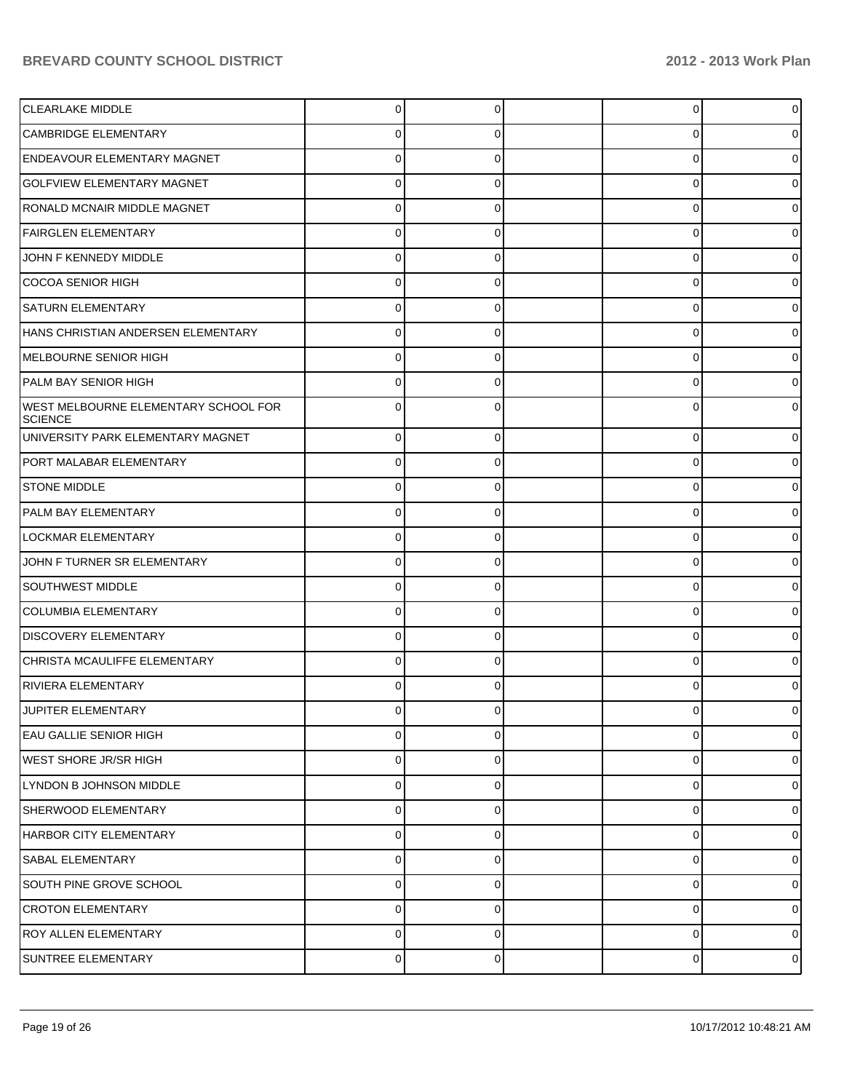| <b>CLEARLAKE MIDDLE</b>                                | 0        | 0 | 0 |  |
|--------------------------------------------------------|----------|---|---|--|
| CAMBRIDGE ELEMENTARY                                   |          | O | 0 |  |
| ENDEAVOUR ELEMENTARY MAGNET                            |          |   | 0 |  |
| <b>GOLFVIEW ELEMENTARY MAGNET</b>                      | 0        | C | 0 |  |
| RONALD MCNAIR MIDDLE MAGNET                            |          | O | 0 |  |
| <b>FAIRGLEN ELEMENTARY</b>                             | 0        | C | 0 |  |
| JOHN F KENNEDY MIDDLE                                  |          | O | 0 |  |
| COCOA SENIOR HIGH                                      | 0        | 0 | 0 |  |
| <b>SATURN ELEMENTARY</b>                               |          | O | 0 |  |
| HANS CHRISTIAN ANDERSEN ELEMENTARY                     | 0        | 0 | 0 |  |
| MELBOURNE SENIOR HIGH                                  | O        | U | 0 |  |
| <b>PALM BAY SENIOR HIGH</b>                            | 0        | 0 | 0 |  |
| WEST MELBOURNE ELEMENTARY SCHOOL FOR<br><b>SCIENCE</b> |          | U | 0 |  |
| UNIVERSITY PARK ELEMENTARY MAGNET                      | 0        | 0 | 0 |  |
| PORT MALABAR ELEMENTARY                                | 0        | 0 | 0 |  |
| <b>STONE MIDDLE</b>                                    | 0        | 0 | 0 |  |
| PALM BAY ELEMENTARY                                    | 0        | 0 | 0 |  |
| LOCKMAR ELEMENTARY                                     | $\Omega$ | 0 | 0 |  |
| JOHN F TURNER SR ELEMENTARY                            | 0        | 0 | 0 |  |
| <b>SOUTHWEST MIDDLE</b>                                | 0        | 0 | 0 |  |
| <b>COLUMBIA ELEMENTARY</b>                             | 0        | 0 | 0 |  |
| <b>DISCOVERY ELEMENTARY</b>                            | $\Omega$ | 0 | 0 |  |
| CHRISTA MCAULIFFE ELEMENTARY                           | 0        | 0 | 0 |  |
| <b>RIVIERA ELEMENTARY</b>                              | 0        |   | 0 |  |
| JUPITER ELEMENTARY                                     | $\Omega$ |   | 0 |  |
| <b>EAU GALLIE SENIOR HIGH</b>                          | 0        | 0 | 0 |  |
| <b>WEST SHORE JR/SR HIGH</b>                           | 0        | 0 | 0 |  |
| LYNDON B JOHNSON MIDDLE                                | 0        | 0 | 0 |  |
| <b>SHERWOOD ELEMENTARY</b>                             | 0        | 0 | 0 |  |
| <b>HARBOR CITY ELEMENTARY</b>                          | 0        | 0 | 0 |  |
| <b>SABAL ELEMENTARY</b>                                | 0        | 0 | 0 |  |
| SOUTH PINE GROVE SCHOOL                                | 0        | 0 | 0 |  |
| <b>CROTON ELEMENTARY</b>                               | 0        | 0 | 0 |  |
| <b>ROY ALLEN ELEMENTARY</b>                            | 0        | 0 | 0 |  |
| SUNTREE ELEMENTARY                                     | $\Omega$ | 0 | 0 |  |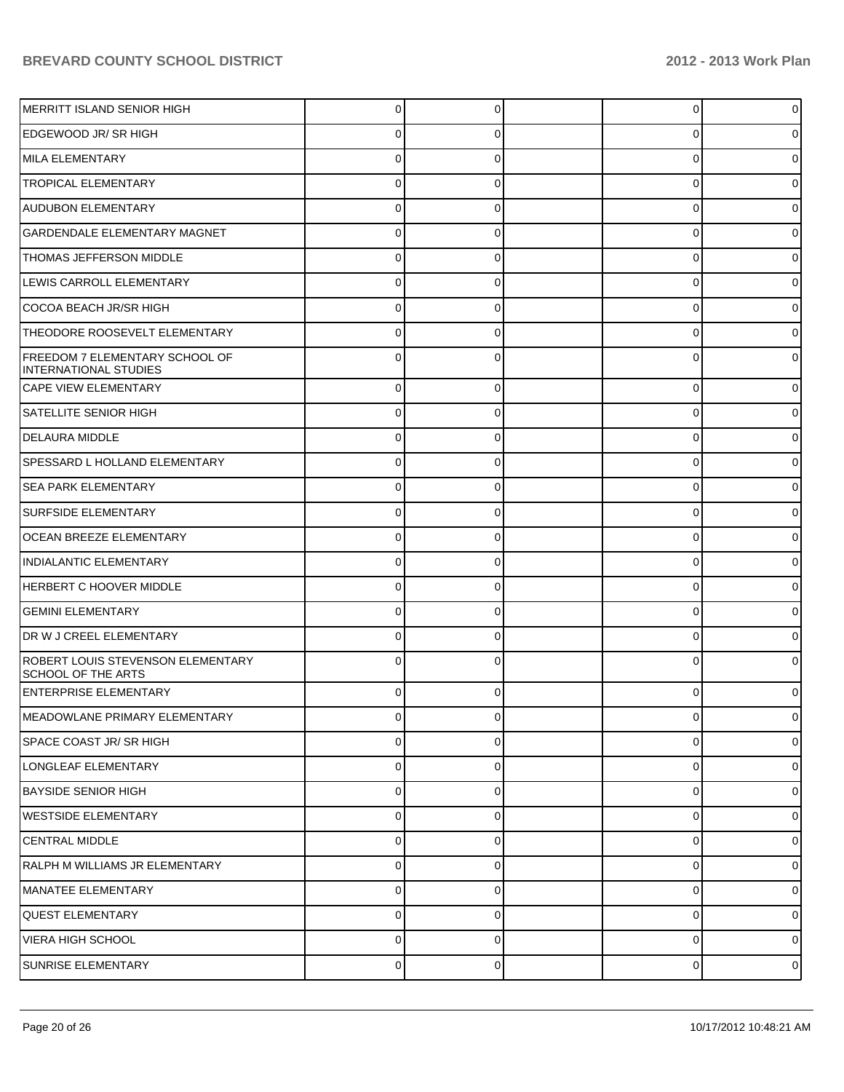| MERRITT ISLAND SENIOR HIGH                                     | 0              |          | 0           |                |
|----------------------------------------------------------------|----------------|----------|-------------|----------------|
| EDGEWOOD JR/SR HIGH                                            | 0              |          | 0           |                |
| MILA ELEMENTARY                                                | 0              |          | 0           |                |
| <b>TROPICAL ELEMENTARY</b>                                     | 0              |          | 0           |                |
| <b>AUDUBON ELEMENTARY</b>                                      |                |          | 0           |                |
| GARDENDALE ELEMENTARY MAGNET                                   | O              |          | 0           |                |
| THOMAS JEFFERSON MIDDLE                                        |                |          | 0           |                |
| LEWIS CARROLL ELEMENTARY                                       | 0              |          | 0           |                |
| COCOA BEACH JR/SR HIGH                                         |                |          | 0           |                |
| THEODORE ROOSEVELT ELEMENTARY                                  | 0              |          | 0           |                |
| FREEDOM 7 ELEMENTARY SCHOOL OF<br>INTERNATIONAL STUDIES        |                |          | 0           |                |
| <b>CAPE VIEW ELEMENTARY</b>                                    | $\Omega$       |          | $\mathbf 0$ |                |
| <b>SATELLITE SENIOR HIGH</b>                                   | 0              |          | 0           |                |
| <b>DELAURA MIDDLE</b>                                          | $\Omega$       |          | 0           |                |
| SPESSARD L HOLLAND ELEMENTARY                                  | 0              | 0        | 0           |                |
| <b>SEA PARK ELEMENTARY</b>                                     | $\Omega$       |          | 0           |                |
| <b>SURFSIDE ELEMENTARY</b>                                     | 0              | C        | 0           |                |
| <b>OCEAN BREEZE ELEMENTARY</b>                                 | 0              |          | 0           |                |
| INDIALANTIC ELEMENTARY                                         | $\Omega$       |          | 0           |                |
| HERBERT C HOOVER MIDDLE                                        | $\Omega$       |          | 0           |                |
| <b>GEMINI ELEMENTARY</b>                                       | 0              | 0        | 0           |                |
| DR W J CREEL ELEMENTARY                                        | 0              |          | 0           |                |
| ROBERT LOUIS STEVENSON ELEMENTARY<br><b>SCHOOL OF THE ARTS</b> |                |          | 0           |                |
| <b>ENTERPRISE ELEMENTARY</b>                                   | 0              | 0        | 0           |                |
| MEADOWLANE PRIMARY ELEMENTARY                                  | υ              |          | υ           |                |
| SPACE COAST JR/ SR HIGH                                        | 0              | $\Omega$ | 0           | 0              |
| LONGLEAF ELEMENTARY                                            | 0              | 0        | 0           | 0              |
| <b>BAYSIDE SENIOR HIGH</b>                                     | $\overline{0}$ | 0        | 0           | 0              |
| WESTSIDE ELEMENTARY                                            | 0              | 0        | 0           | 0              |
| <b>ICENTRAL MIDDLE</b>                                         | 0              | 0        | 0           | 0              |
| RALPH M WILLIAMS JR ELEMENTARY                                 | 0              | 0        | 0           | 0              |
| MANATEE ELEMENTARY                                             | 0              | 0        | $\mathbf 0$ | 0              |
| <b>QUEST ELEMENTARY</b>                                        | 0              | 0        | 0           | 0              |
| <b>VIERA HIGH SCHOOL</b>                                       | 0              | 0        | 0           | 0              |
| SUNRISE ELEMENTARY                                             | $\overline{0}$ | 0        | 0           | $\overline{0}$ |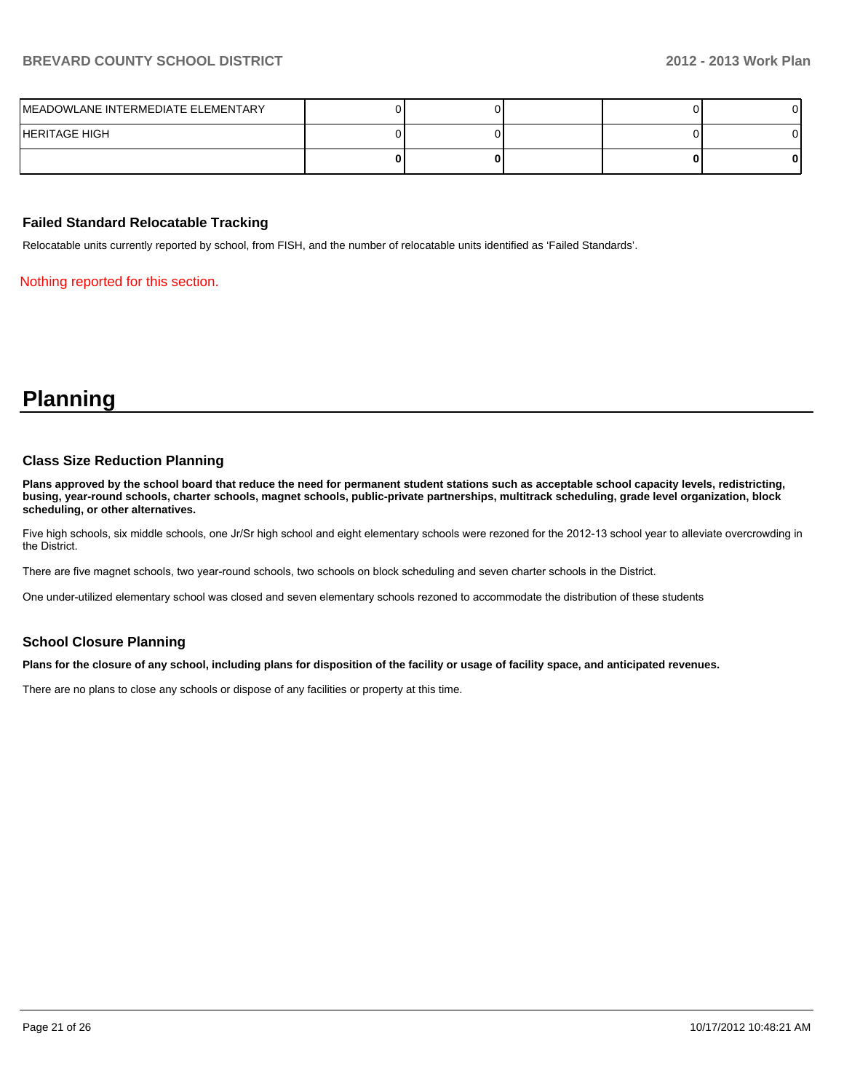| MEADOWLANE INTERMEDIATE ELEMENTARY |  |  |   |
|------------------------------------|--|--|---|
| HERITAGE HIGH                      |  |  |   |
|                                    |  |  | 0 |

#### **Failed Standard Relocatable Tracking**

Relocatable units currently reported by school, from FISH, and the number of relocatable units identified as 'Failed Standards'.

Nothing reported for this section.

# **Planning**

#### **Class Size Reduction Planning**

**Plans approved by the school board that reduce the need for permanent student stations such as acceptable school capacity levels, redistricting, busing, year-round schools, charter schools, magnet schools, public-private partnerships, multitrack scheduling, grade level organization, block scheduling, or other alternatives.**

Five high schools, six middle schools, one Jr/Sr high school and eight elementary schools were rezoned for the 2012-13 school year to alleviate overcrowding in the District.

There are five magnet schools, two year-round schools, two schools on block scheduling and seven charter schools in the District.

One under-utilized elementary school was closed and seven elementary schools rezoned to accommodate the distribution of these students

#### **School Closure Planning**

**Plans for the closure of any school, including plans for disposition of the facility or usage of facility space, and anticipated revenues.**

There are no plans to close any schools or dispose of any facilities or property at this time.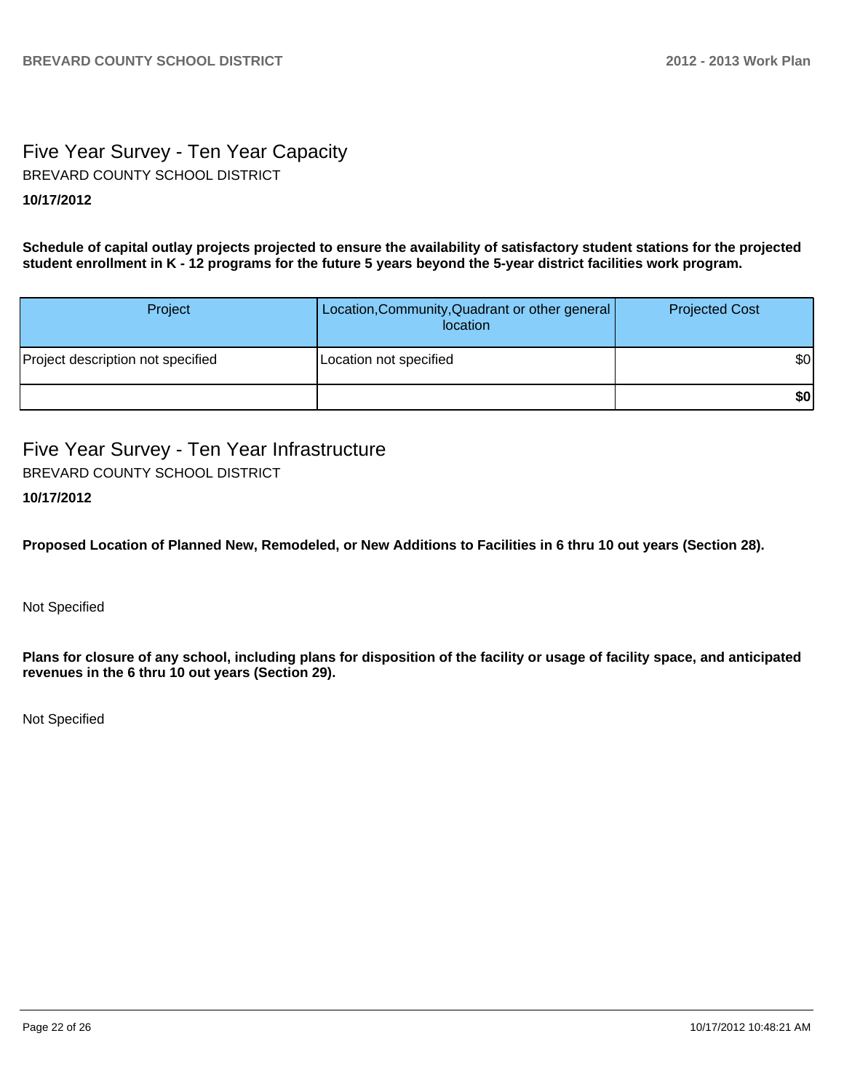# Five Year Survey - Ten Year Capacity **10/17/2012** BREVARD COUNTY SCHOOL DISTRICT

**Schedule of capital outlay projects projected to ensure the availability of satisfactory student stations for the projected student enrollment in K - 12 programs for the future 5 years beyond the 5-year district facilities work program.**

| Project                           | Location, Community, Quadrant or other general<br>location | <b>Projected Cost</b> |
|-----------------------------------|------------------------------------------------------------|-----------------------|
| Project description not specified | Location not specified                                     | \$0                   |
|                                   |                                                            | \$0                   |

Five Year Survey - Ten Year Infrastructure BREVARD COUNTY SCHOOL DISTRICT

# **10/17/2012**

**Proposed Location of Planned New, Remodeled, or New Additions to Facilities in 6 thru 10 out years (Section 28).**

Not Specified

**Plans for closure of any school, including plans for disposition of the facility or usage of facility space, and anticipated revenues in the 6 thru 10 out years (Section 29).**

Not Specified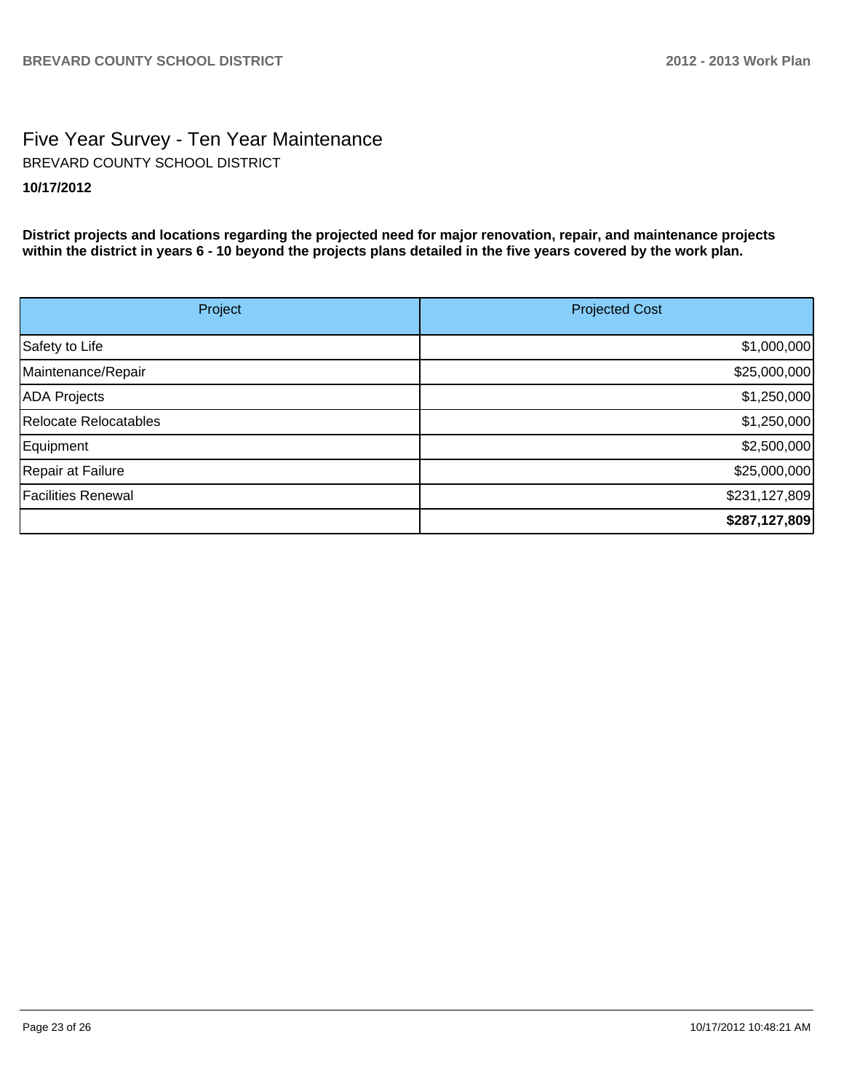# Five Year Survey - Ten Year Maintenance **10/17/2012** BREVARD COUNTY SCHOOL DISTRICT

**District projects and locations regarding the projected need for major renovation, repair, and maintenance projects within the district in years 6 - 10 beyond the projects plans detailed in the five years covered by the work plan.**

| Project                   | <b>Projected Cost</b> |
|---------------------------|-----------------------|
| Safety to Life            | \$1,000,000           |
| Maintenance/Repair        | \$25,000,000          |
| <b>ADA</b> Projects       | \$1,250,000           |
| Relocate Relocatables     | \$1,250,000           |
| Equipment                 | \$2,500,000           |
| Repair at Failure         | \$25,000,000          |
| <b>Facilities Renewal</b> | \$231,127,809         |
|                           | \$287,127,809         |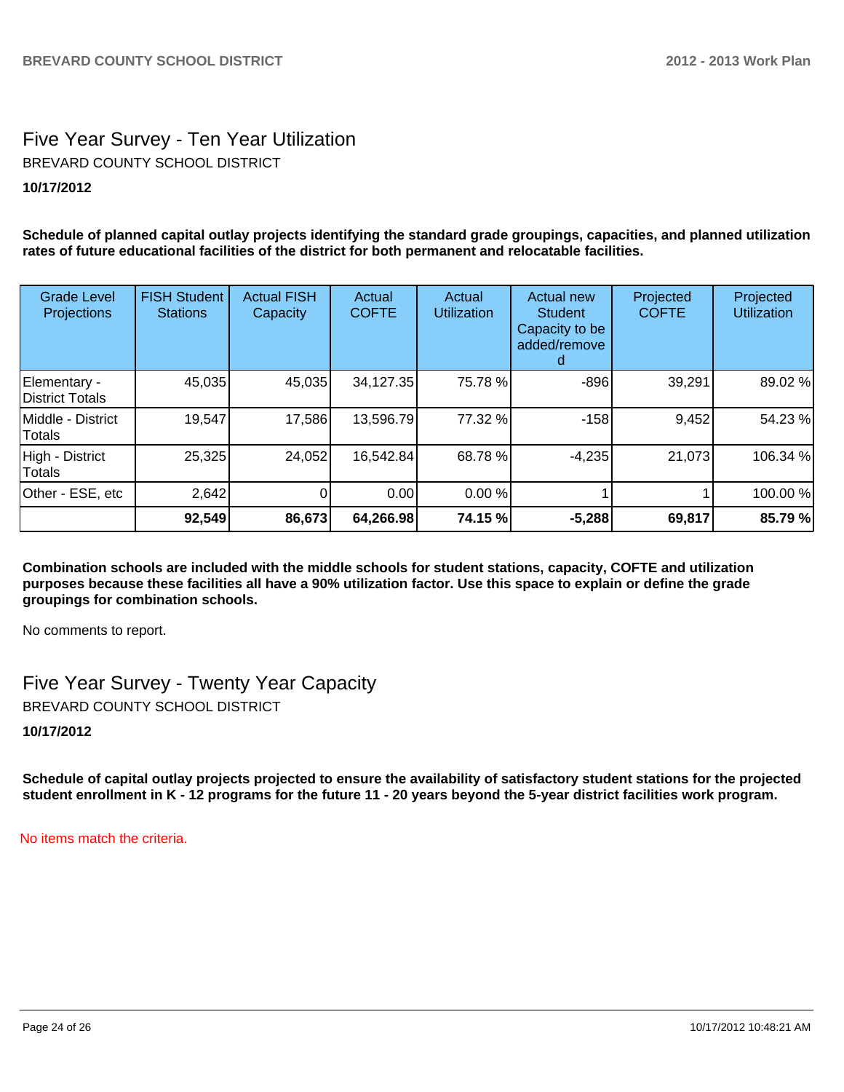# Five Year Survey - Ten Year Utilization **10/17/2012** BREVARD COUNTY SCHOOL DISTRICT

**Schedule of planned capital outlay projects identifying the standard grade groupings, capacities, and planned utilization rates of future educational facilities of the district for both permanent and relocatable facilities.**

| <b>Grade Level</b><br>Projections | <b>FISH Student</b><br><b>Stations</b> | <b>Actual FISH</b><br>Capacity | Actual<br><b>COFTE</b> | Actual<br><b>Utilization</b> | <b>Actual new</b><br>Student<br>Capacity to be<br>added/remove | Projected<br><b>COFTE</b> | Projected<br><b>Utilization</b> |
|-----------------------------------|----------------------------------------|--------------------------------|------------------------|------------------------------|----------------------------------------------------------------|---------------------------|---------------------------------|
| Elementary -<br>District Totals   | 45,035                                 | 45,035                         | 34,127.35              | 75.78 %                      | $-896$                                                         | 39,291                    | 89.02 %                         |
| IMiddle - District<br>Totals      | 19,547                                 | 17,586                         | 13,596.79              | 77.32 %                      | $-158$                                                         | 9,452                     | 54.23 %                         |
| High - District<br><b>Totals</b>  | 25,325                                 | 24,052                         | 16,542.84              | 68.78 %                      | $-4,235$                                                       | 21,073                    | 106.34 %                        |
| Other - ESE, etc                  | 2,642                                  | 0                              | 0.00                   | 0.00 %                       |                                                                |                           | 100.00 %                        |
|                                   | 92,549                                 | 86,673                         | 64,266.98              | 74.15 %                      | $-5,288$                                                       | 69,817                    | 85.79%                          |

**Combination schools are included with the middle schools for student stations, capacity, COFTE and utilization purposes because these facilities all have a 90% utilization factor. Use this space to explain or define the grade groupings for combination schools.**

No comments to report.

Five Year Survey - Twenty Year Capacity BREVARD COUNTY SCHOOL DISTRICT

**10/17/2012**

**Schedule of capital outlay projects projected to ensure the availability of satisfactory student stations for the projected student enrollment in K - 12 programs for the future 11 - 20 years beyond the 5-year district facilities work program.**

No items match the criteria.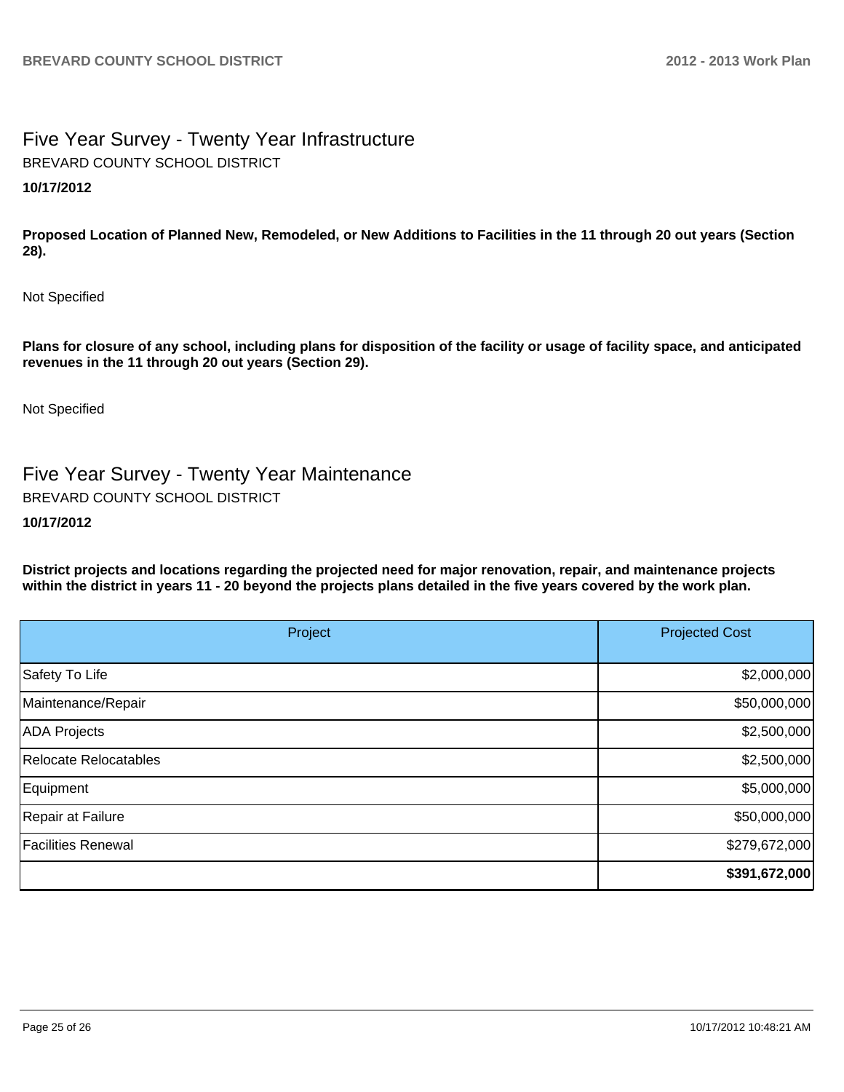# Five Year Survey - Twenty Year Infrastructure **10/17/2012** BREVARD COUNTY SCHOOL DISTRICT

**Proposed Location of Planned New, Remodeled, or New Additions to Facilities in the 11 through 20 out years (Section 28).**

Not Specified

**Plans for closure of any school, including plans for disposition of the facility or usage of facility space, and anticipated revenues in the 11 through 20 out years (Section 29).**

Not Specified

Five Year Survey - Twenty Year Maintenance BREVARD COUNTY SCHOOL DISTRICT

### **10/17/2012**

**District projects and locations regarding the projected need for major renovation, repair, and maintenance projects within the district in years 11 - 20 beyond the projects plans detailed in the five years covered by the work plan.**

| Project                   | <b>Projected Cost</b> |  |
|---------------------------|-----------------------|--|
| Safety To Life            | \$2,000,000           |  |
| Maintenance/Repair        | \$50,000,000          |  |
| <b>ADA Projects</b>       | \$2,500,000           |  |
| Relocate Relocatables     | \$2,500,000           |  |
| Equipment                 | \$5,000,000           |  |
| Repair at Failure         | \$50,000,000          |  |
| <b>Facilities Renewal</b> | \$279,672,000         |  |
|                           | \$391,672,000         |  |